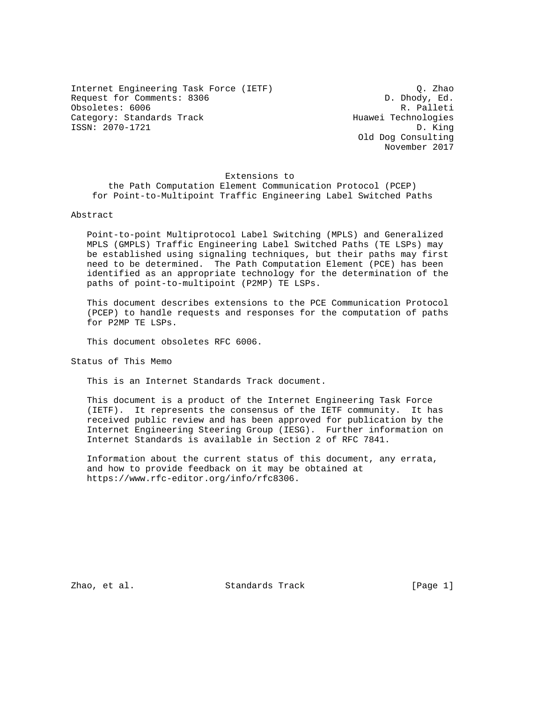Internet Engineering Task Force (IETF) Q. Zhao Request for Comments: 8306 D. Dhody, Ed. Obsoletes: 6006 R. Palleti Category: Standards Track Huawei Technologies ISSN: 2070-1721 D. King

 Old Dog Consulting November 2017

### Extensions to

 the Path Computation Element Communication Protocol (PCEP) for Point-to-Multipoint Traffic Engineering Label Switched Paths

### Abstract

 Point-to-point Multiprotocol Label Switching (MPLS) and Generalized MPLS (GMPLS) Traffic Engineering Label Switched Paths (TE LSPs) may be established using signaling techniques, but their paths may first need to be determined. The Path Computation Element (PCE) has been identified as an appropriate technology for the determination of the paths of point-to-multipoint (P2MP) TE LSPs.

 This document describes extensions to the PCE Communication Protocol (PCEP) to handle requests and responses for the computation of paths for P2MP TE LSPs.

This document obsoletes RFC 6006.

Status of This Memo

This is an Internet Standards Track document.

 This document is a product of the Internet Engineering Task Force (IETF). It represents the consensus of the IETF community. It has received public review and has been approved for publication by the Internet Engineering Steering Group (IESG). Further information on Internet Standards is available in Section 2 of RFC 7841.

 Information about the current status of this document, any errata, and how to provide feedback on it may be obtained at https://www.rfc-editor.org/info/rfc8306.

Zhao, et al. Standards Track [Page 1]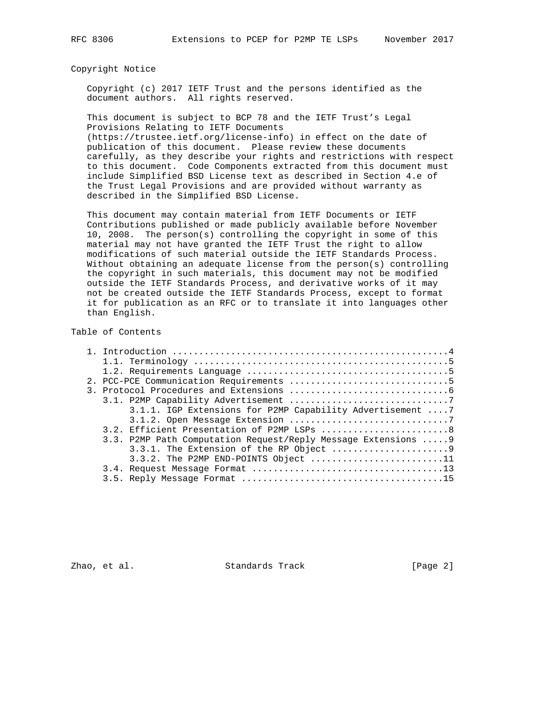### Copyright Notice

 Copyright (c) 2017 IETF Trust and the persons identified as the document authors. All rights reserved.

 This document is subject to BCP 78 and the IETF Trust's Legal Provisions Relating to IETF Documents

 (https://trustee.ietf.org/license-info) in effect on the date of publication of this document. Please review these documents carefully, as they describe your rights and restrictions with respect to this document. Code Components extracted from this document must include Simplified BSD License text as described in Section 4.e of the Trust Legal Provisions and are provided without warranty as described in the Simplified BSD License.

 This document may contain material from IETF Documents or IETF Contributions published or made publicly available before November 10, 2008. The person(s) controlling the copyright in some of this material may not have granted the IETF Trust the right to allow modifications of such material outside the IETF Standards Process. Without obtaining an adequate license from the person(s) controlling the copyright in such materials, this document may not be modified outside the IETF Standards Process, and derivative works of it may not be created outside the IETF Standards Process, except to format it for publication as an RFC or to translate it into languages other than English.

## Table of Contents

| 3.1.1. IGP Extensions for P2MP Capability Advertisement  7     |  |  |  |  |
|----------------------------------------------------------------|--|--|--|--|
|                                                                |  |  |  |  |
| 3.2. Efficient Presentation of P2MP LSPs  8                    |  |  |  |  |
| 3.3. P2MP Path Computation Request/Reply Message Extensions  9 |  |  |  |  |
|                                                                |  |  |  |  |
| $3.3.2$ . The P2MP END-POINTS Object 11                        |  |  |  |  |
|                                                                |  |  |  |  |
|                                                                |  |  |  |  |

Zhao, et al. Standards Track [Page 2]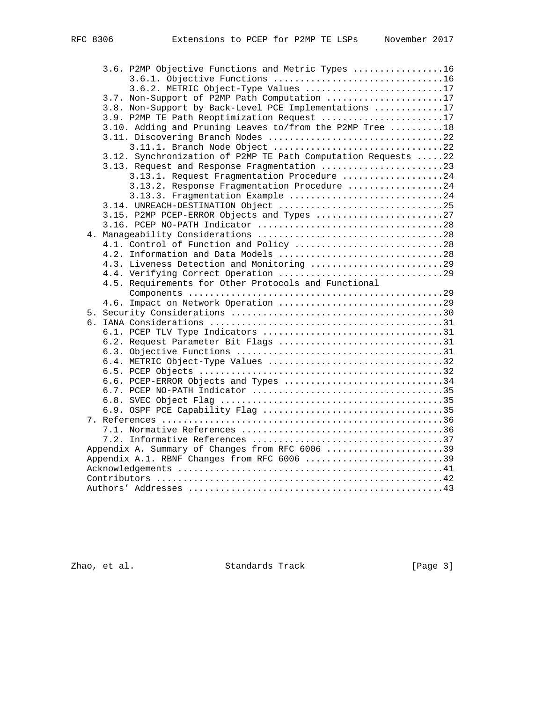| 3.6. P2MP Objective Functions and Metric Types 16             |
|---------------------------------------------------------------|
|                                                               |
| 3.6.2. METRIC Object-Type Values 17                           |
| 3.7. Non-Support of P2MP Path Computation 17                  |
| 3.8. Non-Support by Back-Level PCE Implementations 17         |
| 3.9. P2MP TE Path Reoptimization Request 17                   |
| 3.10. Adding and Pruning Leaves to/from the P2MP Tree 18      |
|                                                               |
| 3.11.1. Branch Node Object 22                                 |
| 3.12. Synchronization of P2MP TE Path Computation Requests 22 |
| 3.13. Request and Response Fragmentation 23                   |
| 3.13.1. Request Fragmentation Procedure 24                    |
| 3.13.2. Response Fragmentation Procedure 24                   |
| 3.13.3. Fragmentation Example 24                              |
| 3.14. UNREACH-DESTINATION Object 25                           |
| 3.15. P2MP PCEP-ERROR Objects and Types 27                    |
|                                                               |
|                                                               |
| 4.1. Control of Function and Policy 28                        |
| 4.2. Information and Data Models 28                           |
| 4.3. Liveness Detection and Monitoring 29                     |
|                                                               |
| 4.5. Requirements for Other Protocols and Functional          |
|                                                               |
|                                                               |
|                                                               |
|                                                               |
|                                                               |
| 6.2. Request Parameter Bit Flags 31                           |
|                                                               |
| 6.4. METRIC Object-Type Values 32                             |
|                                                               |
| 6.6. PCEP-ERROR Objects and Types 34                          |
|                                                               |
|                                                               |
|                                                               |
|                                                               |
|                                                               |
|                                                               |
| Appendix A. Summary of Changes from RFC 6006 39               |
| Appendix A.1. RBNF Changes from RFC 6006 39                   |
|                                                               |
|                                                               |
|                                                               |

zhao, et al. Standards Track [Page 3]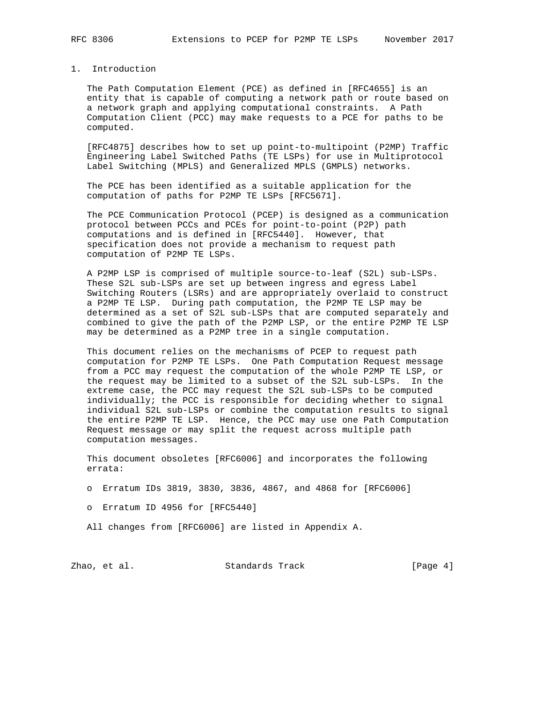# 1. Introduction

 The Path Computation Element (PCE) as defined in [RFC4655] is an entity that is capable of computing a network path or route based on a network graph and applying computational constraints. A Path Computation Client (PCC) may make requests to a PCE for paths to be computed.

 [RFC4875] describes how to set up point-to-multipoint (P2MP) Traffic Engineering Label Switched Paths (TE LSPs) for use in Multiprotocol Label Switching (MPLS) and Generalized MPLS (GMPLS) networks.

 The PCE has been identified as a suitable application for the computation of paths for P2MP TE LSPs [RFC5671].

 The PCE Communication Protocol (PCEP) is designed as a communication protocol between PCCs and PCEs for point-to-point (P2P) path computations and is defined in [RFC5440]. However, that specification does not provide a mechanism to request path computation of P2MP TE LSPs.

 A P2MP LSP is comprised of multiple source-to-leaf (S2L) sub-LSPs. These S2L sub-LSPs are set up between ingress and egress Label Switching Routers (LSRs) and are appropriately overlaid to construct a P2MP TE LSP. During path computation, the P2MP TE LSP may be determined as a set of S2L sub-LSPs that are computed separately and combined to give the path of the P2MP LSP, or the entire P2MP TE LSP may be determined as a P2MP tree in a single computation.

 This document relies on the mechanisms of PCEP to request path computation for P2MP TE LSPs. One Path Computation Request message from a PCC may request the computation of the whole P2MP TE LSP, or the request may be limited to a subset of the S2L sub-LSPs. In the extreme case, the PCC may request the S2L sub-LSPs to be computed individually; the PCC is responsible for deciding whether to signal individual S2L sub-LSPs or combine the computation results to signal the entire P2MP TE LSP. Hence, the PCC may use one Path Computation Request message or may split the request across multiple path computation messages.

 This document obsoletes [RFC6006] and incorporates the following errata:

o Erratum IDs 3819, 3830, 3836, 4867, and 4868 for [RFC6006]

o Erratum ID 4956 for [RFC5440]

All changes from [RFC6006] are listed in Appendix A.

Zhao, et al. Standards Track [Page 4]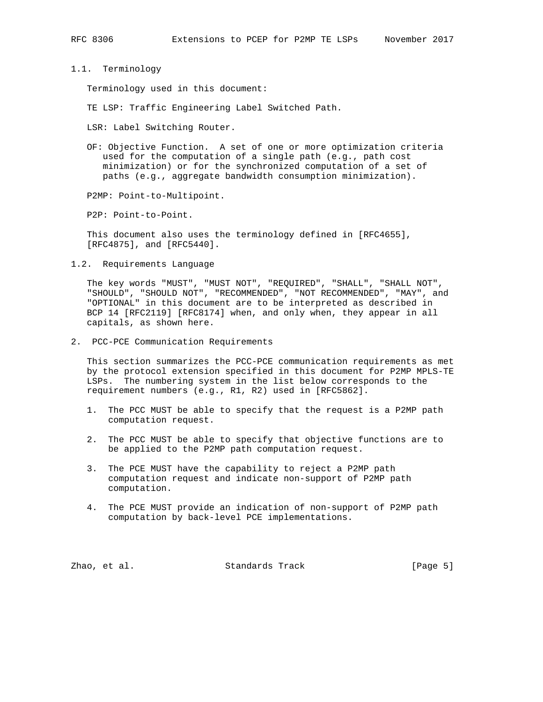1.1. Terminology

Terminology used in this document:

TE LSP: Traffic Engineering Label Switched Path.

LSR: Label Switching Router.

 OF: Objective Function. A set of one or more optimization criteria used for the computation of a single path (e.g., path cost minimization) or for the synchronized computation of a set of paths (e.g., aggregate bandwidth consumption minimization).

P2MP: Point-to-Multipoint.

P2P: Point-to-Point.

 This document also uses the terminology defined in [RFC4655], [RFC4875], and [RFC5440].

1.2. Requirements Language

 The key words "MUST", "MUST NOT", "REQUIRED", "SHALL", "SHALL NOT", "SHOULD", "SHOULD NOT", "RECOMMENDED", "NOT RECOMMENDED", "MAY", and "OPTIONAL" in this document are to be interpreted as described in BCP 14 [RFC2119] [RFC8174] when, and only when, they appear in all capitals, as shown here.

2. PCC-PCE Communication Requirements

 This section summarizes the PCC-PCE communication requirements as met by the protocol extension specified in this document for P2MP MPLS-TE LSPs. The numbering system in the list below corresponds to the requirement numbers (e.g., R1, R2) used in [RFC5862].

- 1. The PCC MUST be able to specify that the request is a P2MP path computation request.
- 2. The PCC MUST be able to specify that objective functions are to be applied to the P2MP path computation request.
- 3. The PCE MUST have the capability to reject a P2MP path computation request and indicate non-support of P2MP path computation.
- 4. The PCE MUST provide an indication of non-support of P2MP path computation by back-level PCE implementations.

Zhao, et al. Standards Track [Page 5]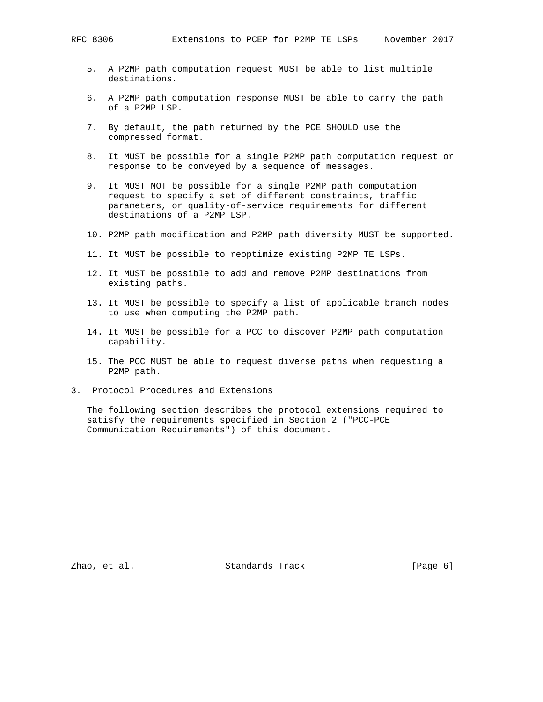- 5. A P2MP path computation request MUST be able to list multiple destinations.
- 6. A P2MP path computation response MUST be able to carry the path of a P2MP LSP.
- 7. By default, the path returned by the PCE SHOULD use the compressed format.
- 8. It MUST be possible for a single P2MP path computation request or response to be conveyed by a sequence of messages.
- 9. It MUST NOT be possible for a single P2MP path computation request to specify a set of different constraints, traffic parameters, or quality-of-service requirements for different destinations of a P2MP LSP.
- 10. P2MP path modification and P2MP path diversity MUST be supported.
- 11. It MUST be possible to reoptimize existing P2MP TE LSPs.
- 12. It MUST be possible to add and remove P2MP destinations from existing paths.
- 13. It MUST be possible to specify a list of applicable branch nodes to use when computing the P2MP path.
- 14. It MUST be possible for a PCC to discover P2MP path computation capability.
- 15. The PCC MUST be able to request diverse paths when requesting a P2MP path.
- 3. Protocol Procedures and Extensions

 The following section describes the protocol extensions required to satisfy the requirements specified in Section 2 ("PCC-PCE Communication Requirements") of this document.

Zhao, et al. Standards Track [Page 6]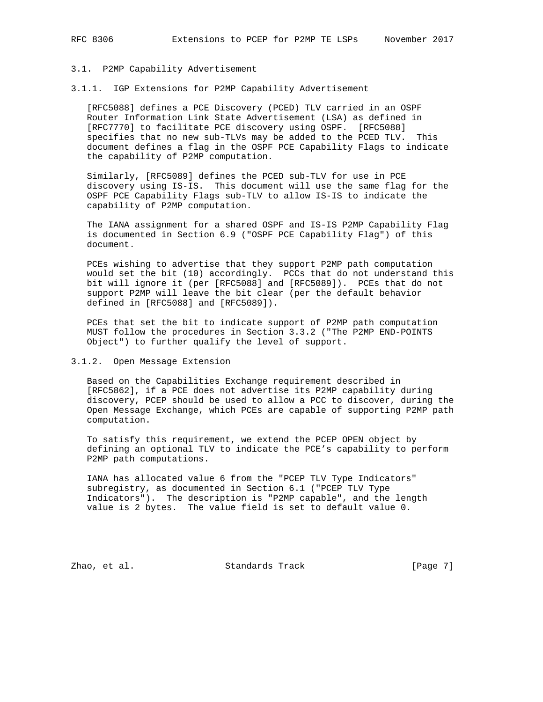### 3.1. P2MP Capability Advertisement

3.1.1. IGP Extensions for P2MP Capability Advertisement

 [RFC5088] defines a PCE Discovery (PCED) TLV carried in an OSPF Router Information Link State Advertisement (LSA) as defined in [RFC7770] to facilitate PCE discovery using OSPF. [RFC5088] specifies that no new sub-TLVs may be added to the PCED TLV. This document defines a flag in the OSPF PCE Capability Flags to indicate the capability of P2MP computation.

 Similarly, [RFC5089] defines the PCED sub-TLV for use in PCE discovery using IS-IS. This document will use the same flag for the OSPF PCE Capability Flags sub-TLV to allow IS-IS to indicate the capability of P2MP computation.

 The IANA assignment for a shared OSPF and IS-IS P2MP Capability Flag is documented in Section 6.9 ("OSPF PCE Capability Flag") of this document.

 PCEs wishing to advertise that they support P2MP path computation would set the bit (10) accordingly. PCCs that do not understand this bit will ignore it (per [RFC5088] and [RFC5089]). PCEs that do not support P2MP will leave the bit clear (per the default behavior defined in [RFC5088] and [RFC5089]).

 PCEs that set the bit to indicate support of P2MP path computation MUST follow the procedures in Section 3.3.2 ("The P2MP END-POINTS Object") to further qualify the level of support.

## 3.1.2. Open Message Extension

 Based on the Capabilities Exchange requirement described in [RFC5862], if a PCE does not advertise its P2MP capability during discovery, PCEP should be used to allow a PCC to discover, during the Open Message Exchange, which PCEs are capable of supporting P2MP path computation.

 To satisfy this requirement, we extend the PCEP OPEN object by defining an optional TLV to indicate the PCE's capability to perform P2MP path computations.

 IANA has allocated value 6 from the "PCEP TLV Type Indicators" subregistry, as documented in Section 6.1 ("PCEP TLV Type Indicators"). The description is "P2MP capable", and the length value is 2 bytes. The value field is set to default value 0.

Zhao, et al. Standards Track [Page 7]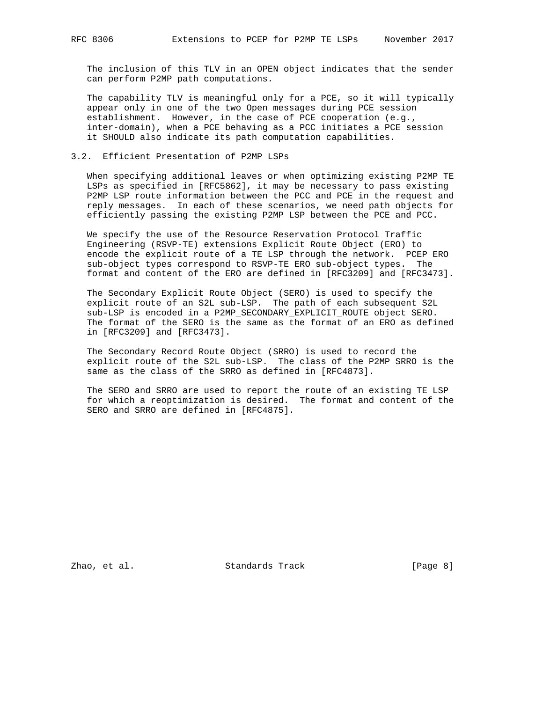The inclusion of this TLV in an OPEN object indicates that the sender can perform P2MP path computations.

 The capability TLV is meaningful only for a PCE, so it will typically appear only in one of the two Open messages during PCE session establishment. However, in the case of PCE cooperation (e.g., inter-domain), when a PCE behaving as a PCC initiates a PCE session it SHOULD also indicate its path computation capabilities.

# 3.2. Efficient Presentation of P2MP LSPs

 When specifying additional leaves or when optimizing existing P2MP TE LSPs as specified in [RFC5862], it may be necessary to pass existing P2MP LSP route information between the PCC and PCE in the request and reply messages. In each of these scenarios, we need path objects for efficiently passing the existing P2MP LSP between the PCE and PCC.

 We specify the use of the Resource Reservation Protocol Traffic Engineering (RSVP-TE) extensions Explicit Route Object (ERO) to encode the explicit route of a TE LSP through the network. PCEP ERO sub-object types correspond to RSVP-TE ERO sub-object types. The format and content of the ERO are defined in [RFC3209] and [RFC3473].

 The Secondary Explicit Route Object (SERO) is used to specify the explicit route of an S2L sub-LSP. The path of each subsequent S2L sub-LSP is encoded in a P2MP\_SECONDARY\_EXPLICIT\_ROUTE object SERO. The format of the SERO is the same as the format of an ERO as defined in [RFC3209] and [RFC3473].

 The Secondary Record Route Object (SRRO) is used to record the explicit route of the S2L sub-LSP. The class of the P2MP SRRO is the same as the class of the SRRO as defined in [RFC4873].

 The SERO and SRRO are used to report the route of an existing TE LSP for which a reoptimization is desired. The format and content of the SERO and SRRO are defined in [RFC4875].

Zhao, et al. Standards Track [Page 8]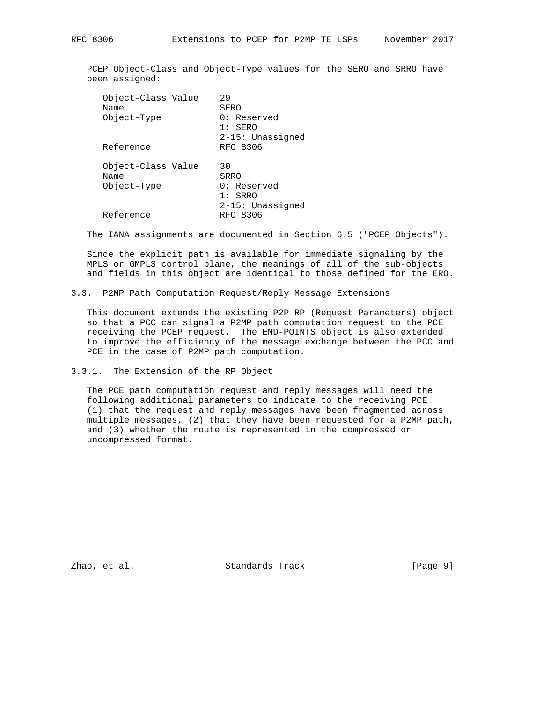PCEP Object-Class and Object-Type values for the SERO and SRRO have been assigned:

| Object-Class Value<br>Name<br>Object-Type | 29<br>SERO<br>$0:$ Reserved<br>$1:$ SERO<br>$2-15:$ Unassigned |
|-------------------------------------------|----------------------------------------------------------------|
| Reference                                 | RFC 8306                                                       |
| Object-Class Value<br>Name<br>Object-Type | 30<br>SRRO<br>$0:$ Reserved<br>$1:$ SRRO<br>2-15: Unassigned   |
| Reference                                 | RFC 8306                                                       |

The IANA assignments are documented in Section 6.5 ("PCEP Objects").

 Since the explicit path is available for immediate signaling by the MPLS or GMPLS control plane, the meanings of all of the sub-objects and fields in this object are identical to those defined for the ERO.

3.3. P2MP Path Computation Request/Reply Message Extensions

 This document extends the existing P2P RP (Request Parameters) object so that a PCC can signal a P2MP path computation request to the PCE receiving the PCEP request. The END-POINTS object is also extended to improve the efficiency of the message exchange between the PCC and PCE in the case of P2MP path computation.

3.3.1. The Extension of the RP Object

 The PCE path computation request and reply messages will need the following additional parameters to indicate to the receiving PCE (1) that the request and reply messages have been fragmented across multiple messages, (2) that they have been requested for a P2MP path, and (3) whether the route is represented in the compressed or uncompressed format.

Zhao, et al. Standards Track [Page 9]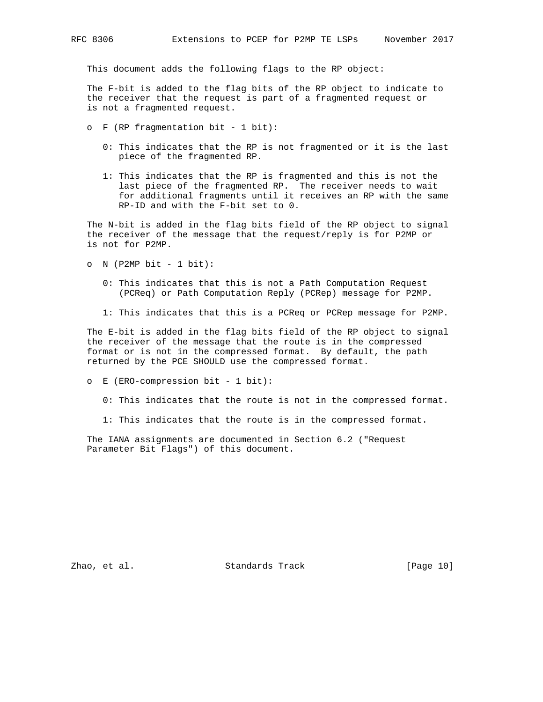This document adds the following flags to the RP object:

 The F-bit is added to the flag bits of the RP object to indicate to the receiver that the request is part of a fragmented request or is not a fragmented request.

- o F (RP fragmentation bit 1 bit):
	- 0: This indicates that the RP is not fragmented or it is the last piece of the fragmented RP.
	- 1: This indicates that the RP is fragmented and this is not the last piece of the fragmented RP. The receiver needs to wait for additional fragments until it receives an RP with the same RP-ID and with the F-bit set to 0.

 The N-bit is added in the flag bits field of the RP object to signal the receiver of the message that the request/reply is for P2MP or is not for P2MP.

- o  $N$  (P2MP bit 1 bit):
	- 0: This indicates that this is not a Path Computation Request (PCReq) or Path Computation Reply (PCRep) message for P2MP.
	- 1: This indicates that this is a PCReq or PCRep message for P2MP.

 The E-bit is added in the flag bits field of the RP object to signal the receiver of the message that the route is in the compressed format or is not in the compressed format. By default, the path returned by the PCE SHOULD use the compressed format.

o E (ERO-compression bit - 1 bit):

0: This indicates that the route is not in the compressed format.

1: This indicates that the route is in the compressed format.

 The IANA assignments are documented in Section 6.2 ("Request Parameter Bit Flags") of this document.

Zhao, et al. Standards Track [Page 10]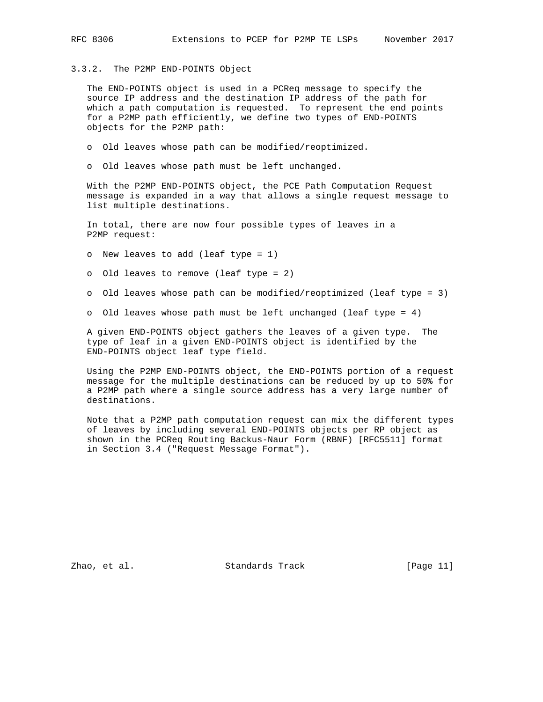# 3.3.2. The P2MP END-POINTS Object

 The END-POINTS object is used in a PCReq message to specify the source IP address and the destination IP address of the path for which a path computation is requested. To represent the end points for a P2MP path efficiently, we define two types of END-POINTS objects for the P2MP path:

- o Old leaves whose path can be modified/reoptimized.
- o Old leaves whose path must be left unchanged.

 With the P2MP END-POINTS object, the PCE Path Computation Request message is expanded in a way that allows a single request message to list multiple destinations.

 In total, there are now four possible types of leaves in a P2MP request:

o New leaves to add (leaf type = 1)

o Old leaves to remove (leaf type = 2)

- o Old leaves whose path can be modified/reoptimized (leaf type = 3)
- o Old leaves whose path must be left unchanged (leaf type = 4)

 A given END-POINTS object gathers the leaves of a given type. The type of leaf in a given END-POINTS object is identified by the END-POINTS object leaf type field.

 Using the P2MP END-POINTS object, the END-POINTS portion of a request message for the multiple destinations can be reduced by up to 50% for a P2MP path where a single source address has a very large number of destinations.

 Note that a P2MP path computation request can mix the different types of leaves by including several END-POINTS objects per RP object as shown in the PCReq Routing Backus-Naur Form (RBNF) [RFC5511] format in Section 3.4 ("Request Message Format").

Zhao, et al. Standards Track [Page 11]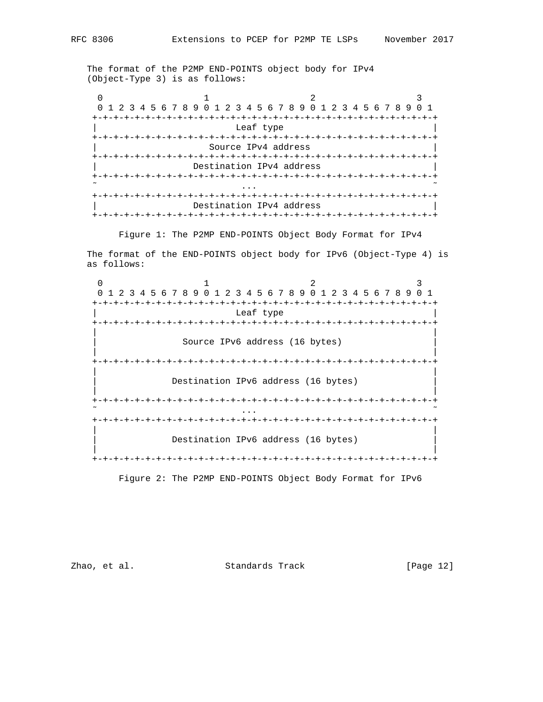The format of the P2MP END-POINTS object body for IPv4 (Object-Type 3) is as follows:

 $0$  1 2 3 0 1 2 3 4 5 6 7 8 9 0 1 2 3 4 5 6 7 8 9 0 1 2 3 4 5 6 7 8 9 0 1 +-+-+-+-+-+-+-+-+-+-+-+-+-+-+-+-+-+-+-+-+-+-+-+-+-+-+-+-+-+-+-+-+ Leaf type +-+-+-+-+-+-+-+-+-+-+-+-+-+-+-+-+-+-+-+-+-+-+-+-+-+-+-+-+-+-+-+-+ Source IPv4 address +-+-+-+-+-+-+-+-+-+-+-+-+-+-+-+-+-+-+-+-+-+-+-+-+-+-+-+-+-+-+-+-+ Destination IPv4 address +-+-+-+-+-+-+-+-+-+-+-+-+-+-+-+-+-+-+-+-+-+-+-+-+-+-+-+-+-+-+-+-+  $\tilde{\mathcal{C}}$  . The contract of the contract of the contract of the contract of the contract of the contract of the contract of the contract of the contract of the contract of the contract of the contract of the contract of +-+-+-+-+-+-+-+-+-+-+-+-+-+-+-+-+-+-+-+-+-+-+-+-+-+-+-+-+-+-+-+-+ Destination IPv4 address +-+-+-+-+-+-+-+-+-+-+-+-+-+-+-+-+-+-+-+-+-+-+-+-+-+-+-+-+-+-+-+-+

Figure 1: The P2MP END-POINTS Object Body Format for IPv4

 The format of the END-POINTS object body for IPv6 (Object-Type 4) is as follows:

 $0$  1 2 3 0 1 2 3 4 5 6 7 8 9 0 1 2 3 4 5 6 7 8 9 0 1 2 3 4 5 6 7 8 9 0 1 +-+-+-+-+-+-+-+-+-+-+-+-+-+-+-+-+-+-+-+-+-+-+-+-+-+-+-+-+-+-+-+-+ Leaf type +-+-+-+-+-+-+-+-+-+-+-+-+-+-+-+-+-+-+-+-+-+-+-+-+-+-+-+-+-+-+-+-+ | | Source IPv6 address (16 bytes) | | +-+-+-+-+-+-+-+-+-+-+-+-+-+-+-+-+-+-+-+-+-+-+-+-+-+-+-+-+-+-+-+-+ | | Destination IPv6 address (16 bytes) | | +-+-+-+-+-+-+-+-+-+-+-+-+-+-+-+-+-+-+-+-+-+-+-+-+-+-+-+-+-+-+-+-+  $\tilde{\gamma}$  . The contract of the contract of the contract of the contract of the contract of the contract of the contract of the contract of the contract of the contract of the contract of the contract of the contract of th +-+-+-+-+-+-+-+-+-+-+-+-+-+-+-+-+-+-+-+-+-+-+-+-+-+-+-+-+-+-+-+-+ | | Destination IPv6 address (16 bytes) | | +-+-+-+-+-+-+-+-+-+-+-+-+-+-+-+-+-+-+-+-+-+-+-+-+-+-+-+-+-+-+-+-+

Figure 2: The P2MP END-POINTS Object Body Format for IPv6

Zhao, et al. Standards Track [Page 12]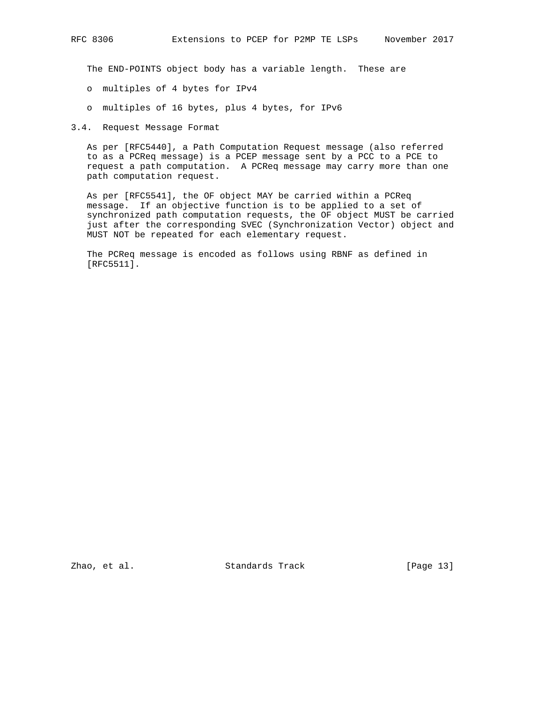The END-POINTS object body has a variable length. These are

- o multiples of 4 bytes for IPv4
- o multiples of 16 bytes, plus 4 bytes, for IPv6

3.4. Request Message Format

 As per [RFC5440], a Path Computation Request message (also referred to as a PCReq message) is a PCEP message sent by a PCC to a PCE to request a path computation. A PCReq message may carry more than one path computation request.

 As per [RFC5541], the OF object MAY be carried within a PCReq message. If an objective function is to be applied to a set of synchronized path computation requests, the OF object MUST be carried just after the corresponding SVEC (Synchronization Vector) object and MUST NOT be repeated for each elementary request.

 The PCReq message is encoded as follows using RBNF as defined in [RFC5511].

Zhao, et al. Standards Track [Page 13]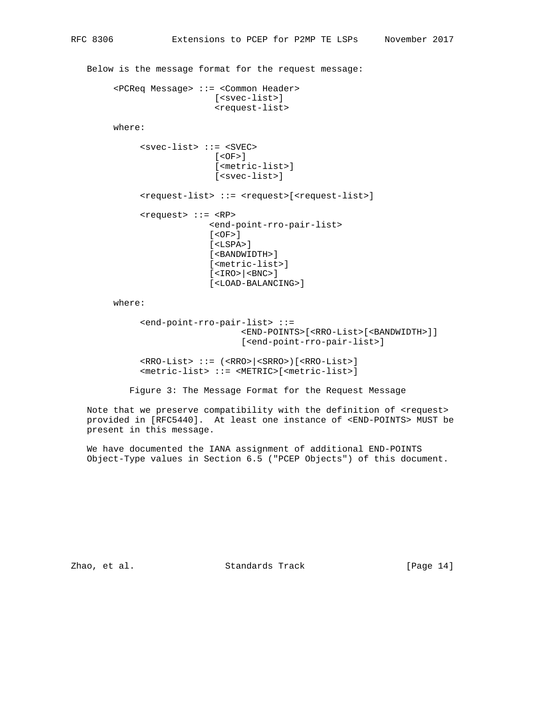Below is the message format for the request message:

```
 <PCReq Message> ::= <Common Header>
                    [<svec-list>]
                   <request-list>
```
where:

```
 <svec-list> ::= <SVEC>
              [<OF>]
              [<metric-list>]
               [<svec-list>]
<request-list> ::= <request>[<request-list>]
<request> ::= <RP>
             <end-point-rro-pair-list>
             [<OF>]
             [<LSPA>]
             [<BANDWIDTH>]
             [<metric-list>]
             [<IRO>|<BNC>]
              [<LOAD-BALANCING>]
```
where:

```
 <end-point-rro-pair-list> ::=
                   <END-POINTS>[<RRO-List>[<BANDWIDTH>]]
                   [<end-point-rro-pair-list>]
```
 <RRO-List> ::= (<RRO>|<SRRO>)[<RRO-List>] <metric-list> ::= <METRIC>[<metric-list>]

Figure 3: The Message Format for the Request Message

Note that we preserve compatibility with the definition of <request> provided in [RFC5440]. At least one instance of <END-POINTS> MUST be present in this message.

 We have documented the IANA assignment of additional END-POINTS Object-Type values in Section 6.5 ("PCEP Objects") of this document.

Zhao, et al. Standards Track [Page 14]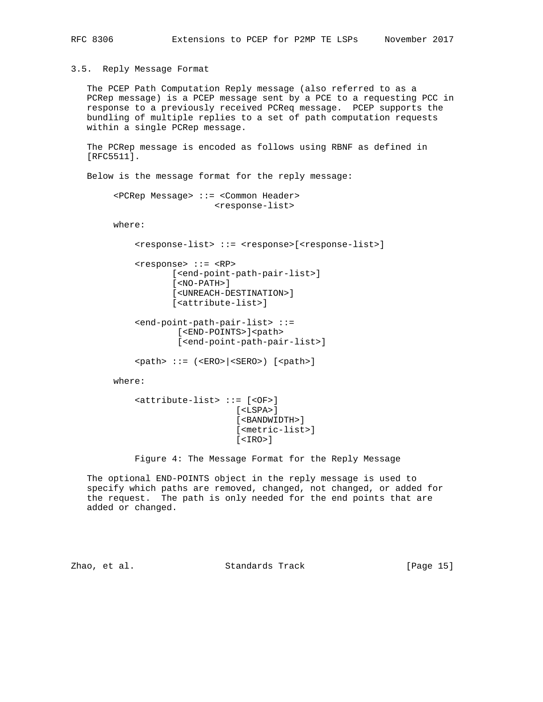### 3.5. Reply Message Format

 The PCEP Path Computation Reply message (also referred to as a PCRep message) is a PCEP message sent by a PCE to a requesting PCC in response to a previously received PCReq message. PCEP supports the bundling of multiple replies to a set of path computation requests within a single PCRep message.

 The PCRep message is encoded as follows using RBNF as defined in [RFC5511].

Below is the message format for the reply message:

 <PCRep Message> ::= <Common Header> <response-list>

where:

```
 <response-list> ::= <response>[<response-list>]
```

```
 <response> ::= <RP>
       [<end-point-path-pair-list>]
       [<NO-PATH>]
       [<UNREACH-DESTINATION>]
       [<attribute-list>]
```

```
 <end-point-path-pair-list> ::=
       [<END-POINTS>]<path>
        [<end-point-path-pair-list>]
```
<path> ::= (<ERO>|<SERO>) [<path>]

where:

```
 <attribute-list> ::= [<OF>]
                    [<LSPA>]
                    [<BANDWIDTH>]
                    [<metric-list>]
                    [<IRO>]
```
Figure 4: The Message Format for the Reply Message

 The optional END-POINTS object in the reply message is used to specify which paths are removed, changed, not changed, or added for the request. The path is only needed for the end points that are added or changed.

Zhao, et al. Standards Track [Page 15]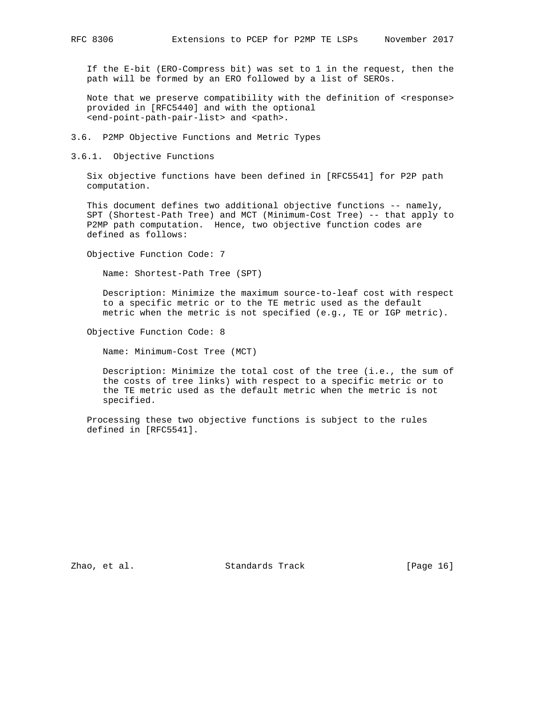If the E-bit (ERO-Compress bit) was set to 1 in the request, then the path will be formed by an ERO followed by a list of SEROs.

Note that we preserve compatibility with the definition of <response> provided in [RFC5440] and with the optional <end-point-path-pair-list> and <path>.

- 3.6. P2MP Objective Functions and Metric Types
- 3.6.1. Objective Functions

 Six objective functions have been defined in [RFC5541] for P2P path computation.

This document defines two additional objective functions -- namely, SPT (Shortest-Path Tree) and MCT (Minimum-Cost Tree) -- that apply to P2MP path computation. Hence, two objective function codes are defined as follows:

Objective Function Code: 7

Name: Shortest-Path Tree (SPT)

 Description: Minimize the maximum source-to-leaf cost with respect to a specific metric or to the TE metric used as the default metric when the metric is not specified (e.g., TE or IGP metric).

Objective Function Code: 8

Name: Minimum-Cost Tree (MCT)

 Description: Minimize the total cost of the tree (i.e., the sum of the costs of tree links) with respect to a specific metric or to the TE metric used as the default metric when the metric is not specified.

 Processing these two objective functions is subject to the rules defined in [RFC5541].

Zhao, et al. Standards Track [Page 16]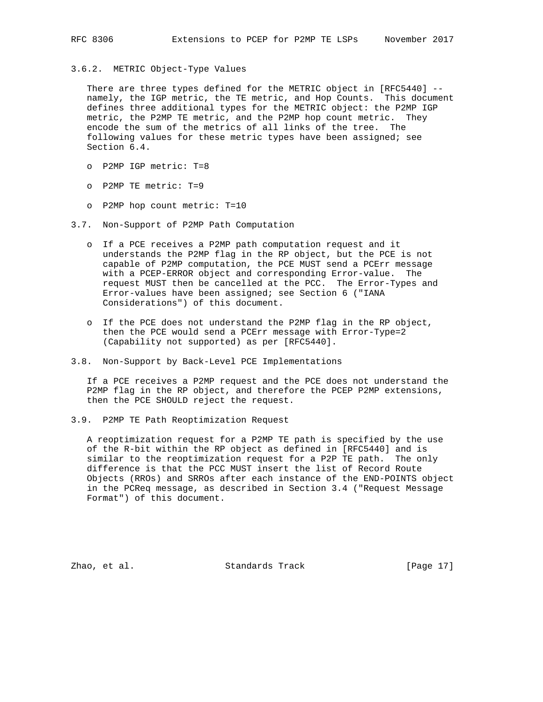# 3.6.2. METRIC Object-Type Values

 There are three types defined for the METRIC object in [RFC5440] - namely, the IGP metric, the TE metric, and Hop Counts. This document defines three additional types for the METRIC object: the P2MP IGP metric, the P2MP TE metric, and the P2MP hop count metric. They encode the sum of the metrics of all links of the tree. The following values for these metric types have been assigned; see Section 6.4.

- o P2MP IGP metric: T=8
- o P2MP TE metric: T=9
- o P2MP hop count metric: T=10
- 3.7. Non-Support of P2MP Path Computation
	- o If a PCE receives a P2MP path computation request and it understands the P2MP flag in the RP object, but the PCE is not capable of P2MP computation, the PCE MUST send a PCErr message with a PCEP-ERROR object and corresponding Error-value. The request MUST then be cancelled at the PCC. The Error-Types and Error-values have been assigned; see Section 6 ("IANA Considerations") of this document.
	- o If the PCE does not understand the P2MP flag in the RP object, then the PCE would send a PCErr message with Error-Type=2 (Capability not supported) as per [RFC5440].
- 3.8. Non-Support by Back-Level PCE Implementations

 If a PCE receives a P2MP request and the PCE does not understand the P2MP flag in the RP object, and therefore the PCEP P2MP extensions, then the PCE SHOULD reject the request.

3.9. P2MP TE Path Reoptimization Request

 A reoptimization request for a P2MP TE path is specified by the use of the R-bit within the RP object as defined in [RFC5440] and is similar to the reoptimization request for a P2P TE path. The only difference is that the PCC MUST insert the list of Record Route Objects (RROs) and SRROs after each instance of the END-POINTS object in the PCReq message, as described in Section 3.4 ("Request Message Format") of this document.

Zhao, et al. Standards Track [Page 17]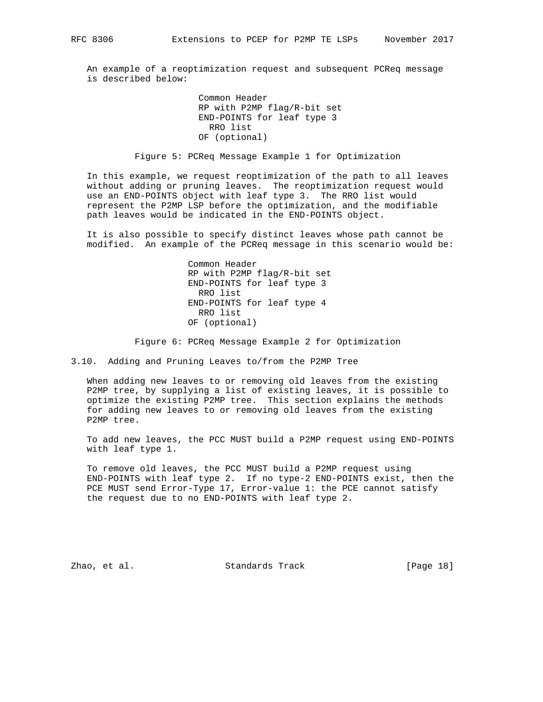An example of a reoptimization request and subsequent PCReq message is described below:

> Common Header RP with P2MP flag/R-bit set END-POINTS for leaf type 3 RRO list OF (optional)

Figure 5: PCReq Message Example 1 for Optimization

 In this example, we request reoptimization of the path to all leaves without adding or pruning leaves. The reoptimization request would use an END-POINTS object with leaf type 3. The RRO list would represent the P2MP LSP before the optimization, and the modifiable path leaves would be indicated in the END-POINTS object.

 It is also possible to specify distinct leaves whose path cannot be modified. An example of the PCReq message in this scenario would be:

> Common Header RP with P2MP flag/R-bit set END-POINTS for leaf type 3 RRO list END-POINTS for leaf type 4 RRO list OF (optional)

Figure 6: PCReq Message Example 2 for Optimization

3.10. Adding and Pruning Leaves to/from the P2MP Tree

 When adding new leaves to or removing old leaves from the existing P2MP tree, by supplying a list of existing leaves, it is possible to optimize the existing P2MP tree. This section explains the methods for adding new leaves to or removing old leaves from the existing P2MP tree.

 To add new leaves, the PCC MUST build a P2MP request using END-POINTS with leaf type 1.

 To remove old leaves, the PCC MUST build a P2MP request using END-POINTS with leaf type 2. If no type-2 END-POINTS exist, then the PCE MUST send Error-Type 17, Error-value 1: the PCE cannot satisfy the request due to no END-POINTS with leaf type 2.

Zhao, et al. Standards Track [Page 18]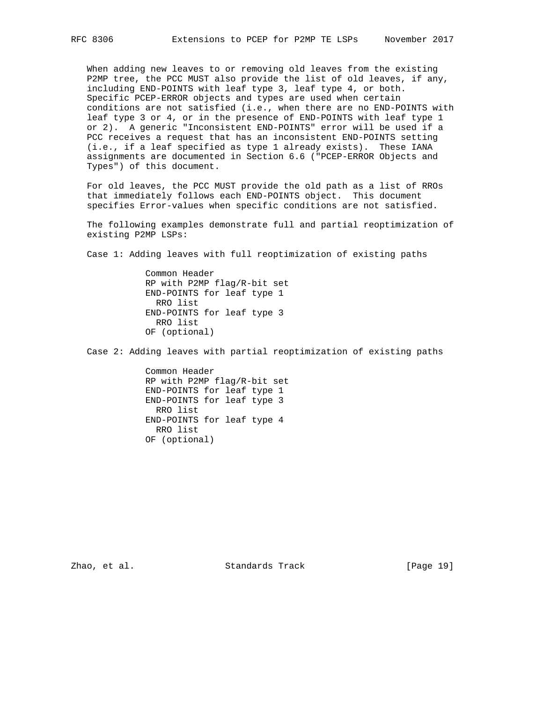When adding new leaves to or removing old leaves from the existing P2MP tree, the PCC MUST also provide the list of old leaves, if any, including END-POINTS with leaf type 3, leaf type 4, or both. Specific PCEP-ERROR objects and types are used when certain conditions are not satisfied (i.e., when there are no END-POINTS with leaf type 3 or 4, or in the presence of END-POINTS with leaf type 1 or 2). A generic "Inconsistent END-POINTS" error will be used if a PCC receives a request that has an inconsistent END-POINTS setting (i.e., if a leaf specified as type 1 already exists). These IANA assignments are documented in Section 6.6 ("PCEP-ERROR Objects and Types") of this document.

 For old leaves, the PCC MUST provide the old path as a list of RROs that immediately follows each END-POINTS object. This document specifies Error-values when specific conditions are not satisfied.

 The following examples demonstrate full and partial reoptimization of existing P2MP LSPs:

Case 1: Adding leaves with full reoptimization of existing paths

 Common Header RP with P2MP flag/R-bit set END-POINTS for leaf type 1 RRO list END-POINTS for leaf type 3 RRO list OF (optional)

Case 2: Adding leaves with partial reoptimization of existing paths

 Common Header RP with P2MP flag/R-bit set END-POINTS for leaf type 1 END-POINTS for leaf type 3 RRO list END-POINTS for leaf type 4 RRO list OF (optional)

Zhao, et al. Standards Track [Page 19]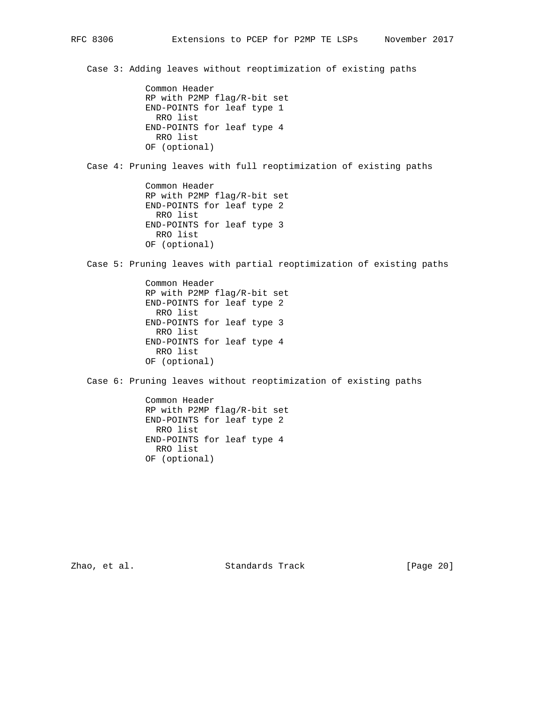Case 3: Adding leaves without reoptimization of existing paths

 Common Header RP with P2MP flag/R-bit set END-POINTS for leaf type 1 RRO list END-POINTS for leaf type 4 RRO list OF (optional)

Case 4: Pruning leaves with full reoptimization of existing paths

 Common Header RP with P2MP flag/R-bit set END-POINTS for leaf type 2 RRO list END-POINTS for leaf type 3 RRO list OF (optional)

Case 5: Pruning leaves with partial reoptimization of existing paths

 Common Header RP with P2MP flag/R-bit set END-POINTS for leaf type 2 RRO list END-POINTS for leaf type 3 RRO list END-POINTS for leaf type 4 RRO list OF (optional)

Case 6: Pruning leaves without reoptimization of existing paths

 Common Header RP with P2MP flag/R-bit set END-POINTS for leaf type 2 RRO list END-POINTS for leaf type 4 RRO list OF (optional)

Zhao, et al. Standards Track [Page 20]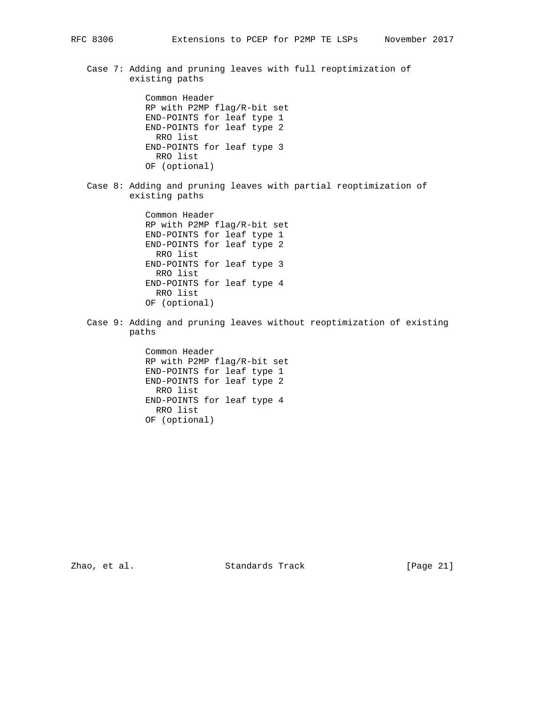Case 7: Adding and pruning leaves with full reoptimization of existing paths

> Common Header RP with P2MP flag/R-bit set END-POINTS for leaf type 1 END-POINTS for leaf type 2 RRO list END-POINTS for leaf type 3 RRO list OF (optional)

 Case 8: Adding and pruning leaves with partial reoptimization of existing paths

> Common Header RP with P2MP flag/R-bit set END-POINTS for leaf type 1 END-POINTS for leaf type 2 RRO list END-POINTS for leaf type 3 RRO list END-POINTS for leaf type 4 RRO list OF (optional)

 Case 9: Adding and pruning leaves without reoptimization of existing paths

> Common Header RP with P2MP flag/R-bit set END-POINTS for leaf type 1 END-POINTS for leaf type 2 RRO list END-POINTS for leaf type 4 RRO list OF (optional)

Zhao, et al. Standards Track [Page 21]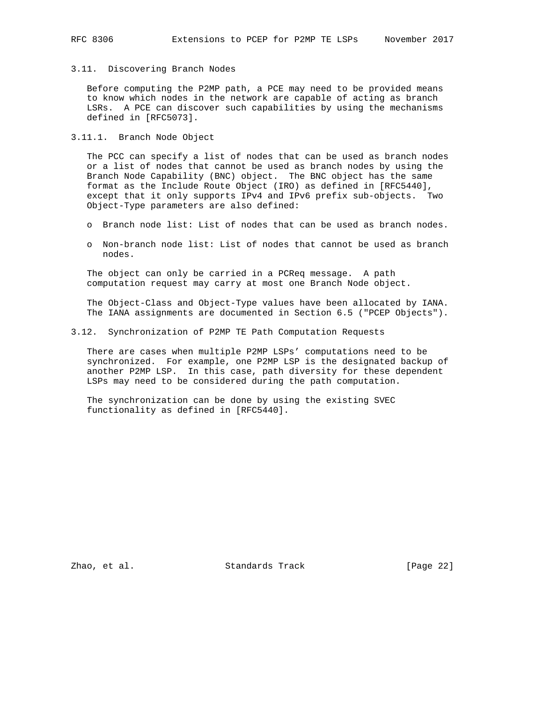## 3.11. Discovering Branch Nodes

 Before computing the P2MP path, a PCE may need to be provided means to know which nodes in the network are capable of acting as branch LSRs. A PCE can discover such capabilities by using the mechanisms defined in [RFC5073].

3.11.1. Branch Node Object

 The PCC can specify a list of nodes that can be used as branch nodes or a list of nodes that cannot be used as branch nodes by using the Branch Node Capability (BNC) object. The BNC object has the same format as the Include Route Object (IRO) as defined in [RFC5440], except that it only supports IPv4 and IPv6 prefix sub-objects. Two Object-Type parameters are also defined:

- o Branch node list: List of nodes that can be used as branch nodes.
- o Non-branch node list: List of nodes that cannot be used as branch nodes.

 The object can only be carried in a PCReq message. A path computation request may carry at most one Branch Node object.

 The Object-Class and Object-Type values have been allocated by IANA. The IANA assignments are documented in Section 6.5 ("PCEP Objects").

## 3.12. Synchronization of P2MP TE Path Computation Requests

 There are cases when multiple P2MP LSPs' computations need to be synchronized. For example, one P2MP LSP is the designated backup of another P2MP LSP. In this case, path diversity for these dependent LSPs may need to be considered during the path computation.

 The synchronization can be done by using the existing SVEC functionality as defined in [RFC5440].

Zhao, et al. Standards Track [Page 22]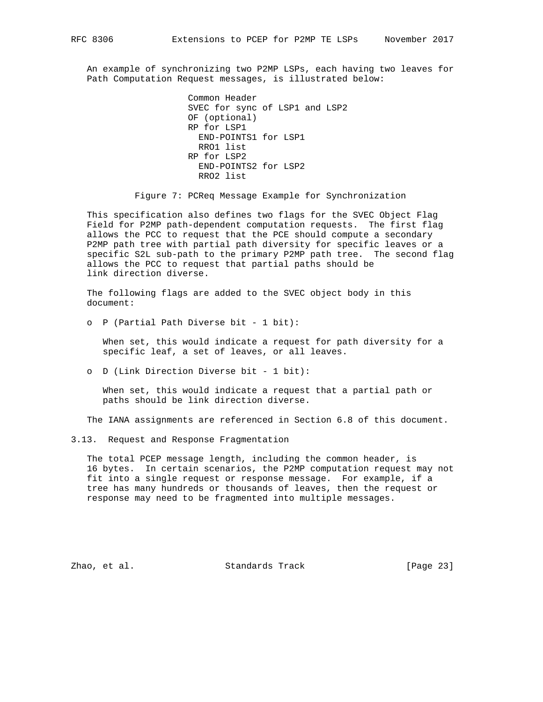An example of synchronizing two P2MP LSPs, each having two leaves for Path Computation Request messages, is illustrated below:

```
 Common Header
SVEC for sync of LSP1 and LSP2
OF (optional)
RP for LSP1
 END-POINTS1 for LSP1
  RRO1 list
RP for LSP2
  END-POINTS2 for LSP2
  RRO2 list
```
Figure 7: PCReq Message Example for Synchronization

 This specification also defines two flags for the SVEC Object Flag Field for P2MP path-dependent computation requests. The first flag allows the PCC to request that the PCE should compute a secondary P2MP path tree with partial path diversity for specific leaves or a specific S2L sub-path to the primary P2MP path tree. The second flag allows the PCC to request that partial paths should be link direction diverse.

 The following flags are added to the SVEC object body in this document:

o P (Partial Path Diverse bit - 1 bit):

 When set, this would indicate a request for path diversity for a specific leaf, a set of leaves, or all leaves.

o D (Link Direction Diverse bit - 1 bit):

 When set, this would indicate a request that a partial path or paths should be link direction diverse.

The IANA assignments are referenced in Section 6.8 of this document.

3.13. Request and Response Fragmentation

 The total PCEP message length, including the common header, is 16 bytes. In certain scenarios, the P2MP computation request may not fit into a single request or response message. For example, if a tree has many hundreds or thousands of leaves, then the request or response may need to be fragmented into multiple messages.

Zhao, et al. Standards Track [Page 23]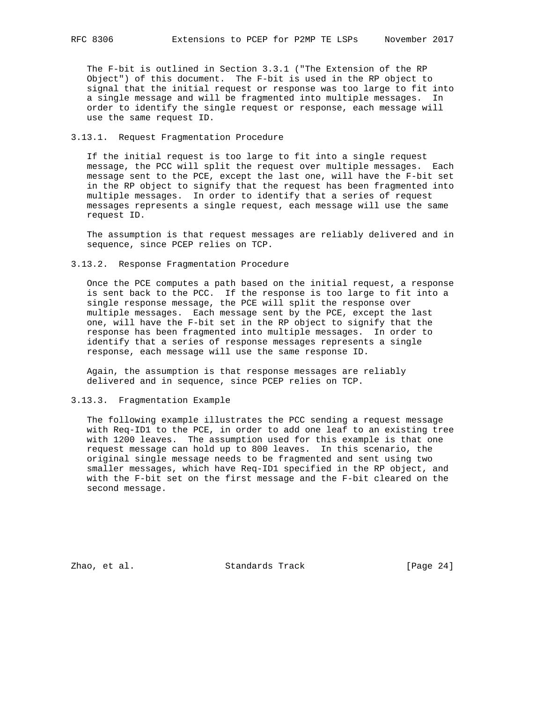The F-bit is outlined in Section 3.3.1 ("The Extension of the RP Object") of this document. The F-bit is used in the RP object to signal that the initial request or response was too large to fit into a single message and will be fragmented into multiple messages. In order to identify the single request or response, each message will use the same request ID.

# 3.13.1. Request Fragmentation Procedure

 If the initial request is too large to fit into a single request message, the PCC will split the request over multiple messages. Each message sent to the PCE, except the last one, will have the F-bit set in the RP object to signify that the request has been fragmented into multiple messages. In order to identify that a series of request messages represents a single request, each message will use the same request ID.

 The assumption is that request messages are reliably delivered and in sequence, since PCEP relies on TCP.

### 3.13.2. Response Fragmentation Procedure

 Once the PCE computes a path based on the initial request, a response is sent back to the PCC. If the response is too large to fit into a single response message, the PCE will split the response over multiple messages. Each message sent by the PCE, except the last one, will have the F-bit set in the RP object to signify that the response has been fragmented into multiple messages. In order to identify that a series of response messages represents a single response, each message will use the same response ID.

 Again, the assumption is that response messages are reliably delivered and in sequence, since PCEP relies on TCP.

## 3.13.3. Fragmentation Example

 The following example illustrates the PCC sending a request message with Req-ID1 to the PCE, in order to add one leaf to an existing tree with 1200 leaves. The assumption used for this example is that one request message can hold up to 800 leaves. In this scenario, the original single message needs to be fragmented and sent using two smaller messages, which have Req-ID1 specified in the RP object, and with the F-bit set on the first message and the F-bit cleared on the second message.

Zhao, et al. Standards Track [Page 24]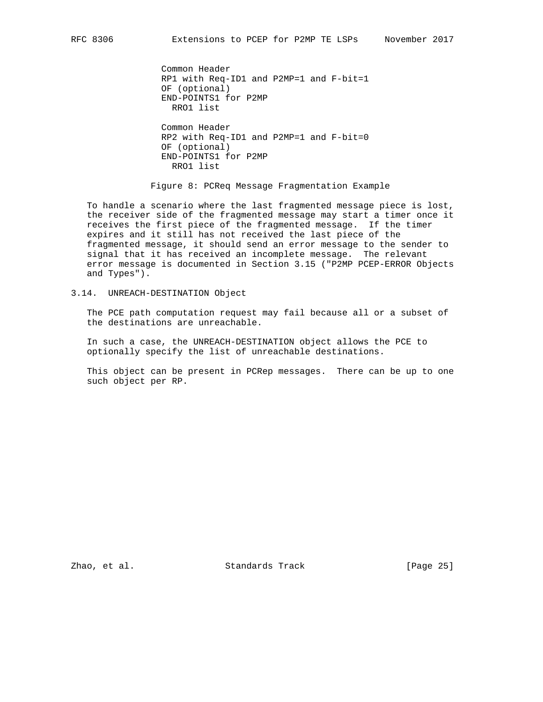Common Header RP1 with Req-ID1 and P2MP=1 and F-bit=1 OF (optional) END-POINTS1 for P2MP RRO1 list Common Header RP2 with Req-ID1 and P2MP=1 and F-bit=0 OF (optional) END-POINTS1 for P2MP RRO1 list

Figure 8: PCReq Message Fragmentation Example

 To handle a scenario where the last fragmented message piece is lost, the receiver side of the fragmented message may start a timer once it receives the first piece of the fragmented message. If the timer expires and it still has not received the last piece of the fragmented message, it should send an error message to the sender to signal that it has received an incomplete message. The relevant error message is documented in Section 3.15 ("P2MP PCEP-ERROR Objects and Types").

3.14. UNREACH-DESTINATION Object

 The PCE path computation request may fail because all or a subset of the destinations are unreachable.

 In such a case, the UNREACH-DESTINATION object allows the PCE to optionally specify the list of unreachable destinations.

 This object can be present in PCRep messages. There can be up to one such object per RP.

Zhao, et al. Standards Track [Page 25]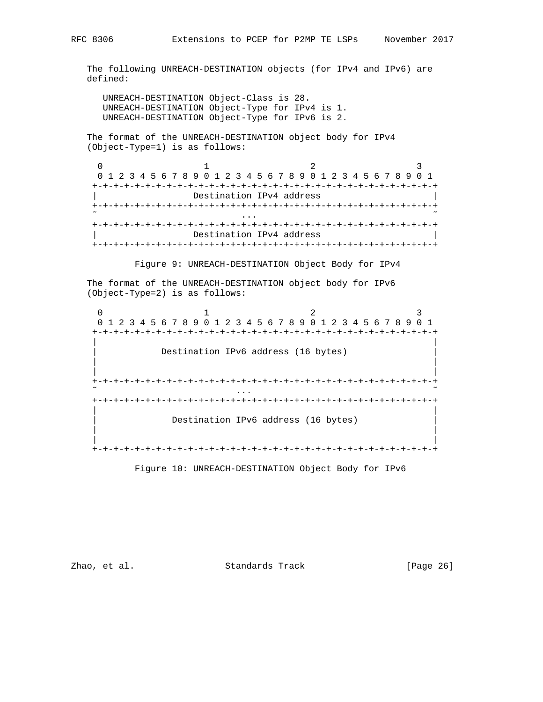The following UNREACH-DESTINATION objects (for IPv4 and IPv6) are defined:

 UNREACH-DESTINATION Object-Class is 28. UNREACH-DESTINATION Object-Type for IPv4 is 1. UNREACH-DESTINATION Object-Type for IPv6 is 2.

 The format of the UNREACH-DESTINATION object body for IPv4 (Object-Type=1) is as follows:

 $0$  1 2 3 0 1 2 3 4 5 6 7 8 9 0 1 2 3 4 5 6 7 8 9 0 1 2 3 4 5 6 7 8 9 0 1 +-+-+-+-+-+-+-+-+-+-+-+-+-+-+-+-+-+-+-+-+-+-+-+-+-+-+-+-+-+-+-+-+ Destination IPv4 address +-+-+-+-+-+-+-+-+-+-+-+-+-+-+-+-+-+-+-+-+-+-+-+-+-+-+-+-+-+-+-+-+  $\tilde{\mathcal{C}}$  . The contract of the contract of the contract of the contract of the contract of the contract of the contract of the contract of the contract of the contract of the contract of the contract of the contract of +-+-+-+-+-+-+-+-+-+-+-+-+-+-+-+-+-+-+-+-+-+-+-+-+-+-+-+-+-+-+-+-+ Destination IPv4 address +-+-+-+-+-+-+-+-+-+-+-+-+-+-+-+-+-+-+-+-+-+-+-+-+-+-+-+-+-+-+-+-+

Figure 9: UNREACH-DESTINATION Object Body for IPv4

 The format of the UNREACH-DESTINATION object body for IPv6 (Object-Type=2) is as follows:

 $0$  1 2 3 0 1 2 3 4 5 6 7 8 9 0 1 2 3 4 5 6 7 8 9 0 1 2 3 4 5 6 7 8 9 0 1 +-+-+-+-+-+-+-+-+-+-+-+-+-+-+-+-+-+-+-+-+-+-+-+-+-+-+-+-+-+-+-+-+ | | Destination IPv6 address (16 bytes) | | | | +-+-+-+-+-+-+-+-+-+-+-+-+-+-+-+-+-+-+-+-+-+-+-+-+-+-+-+-+-+-+-+-+ ˜ ... ˜ +-+-+-+-+-+-+-+-+-+-+-+-+-+-+-+-+-+-+-+-+-+-+-+-+-+-+-+-+-+-+-+-+ | | Destination IPv6 address (16 bytes) | | | | +-+-+-+-+-+-+-+-+-+-+-+-+-+-+-+-+-+-+-+-+-+-+-+-+-+-+-+-+-+-+-+-+

Figure 10: UNREACH-DESTINATION Object Body for IPv6

Zhao, et al. Standards Track [Page 26]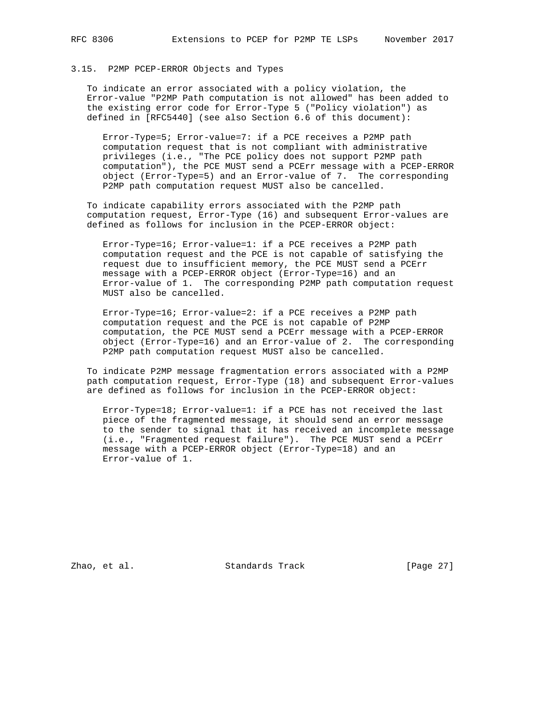# 3.15. P2MP PCEP-ERROR Objects and Types

 To indicate an error associated with a policy violation, the Error-value "P2MP Path computation is not allowed" has been added to the existing error code for Error-Type 5 ("Policy violation") as defined in [RFC5440] (see also Section 6.6 of this document):

 Error-Type=5; Error-value=7: if a PCE receives a P2MP path computation request that is not compliant with administrative privileges (i.e., "The PCE policy does not support P2MP path computation"), the PCE MUST send a PCErr message with a PCEP-ERROR object (Error-Type=5) and an Error-value of 7. The corresponding P2MP path computation request MUST also be cancelled.

 To indicate capability errors associated with the P2MP path computation request, Error-Type (16) and subsequent Error-values are defined as follows for inclusion in the PCEP-ERROR object:

 Error-Type=16; Error-value=1: if a PCE receives a P2MP path computation request and the PCE is not capable of satisfying the request due to insufficient memory, the PCE MUST send a PCErr message with a PCEP-ERROR object (Error-Type=16) and an Error-value of 1. The corresponding P2MP path computation request MUST also be cancelled.

 Error-Type=16; Error-value=2: if a PCE receives a P2MP path computation request and the PCE is not capable of P2MP computation, the PCE MUST send a PCErr message with a PCEP-ERROR object (Error-Type=16) and an Error-value of 2. The corresponding P2MP path computation request MUST also be cancelled.

 To indicate P2MP message fragmentation errors associated with a P2MP path computation request, Error-Type (18) and subsequent Error-values are defined as follows for inclusion in the PCEP-ERROR object:

 Error-Type=18; Error-value=1: if a PCE has not received the last piece of the fragmented message, it should send an error message to the sender to signal that it has received an incomplete message (i.e., "Fragmented request failure"). The PCE MUST send a PCErr message with a PCEP-ERROR object (Error-Type=18) and an Error-value of 1.

Zhao, et al. Standards Track [Page 27]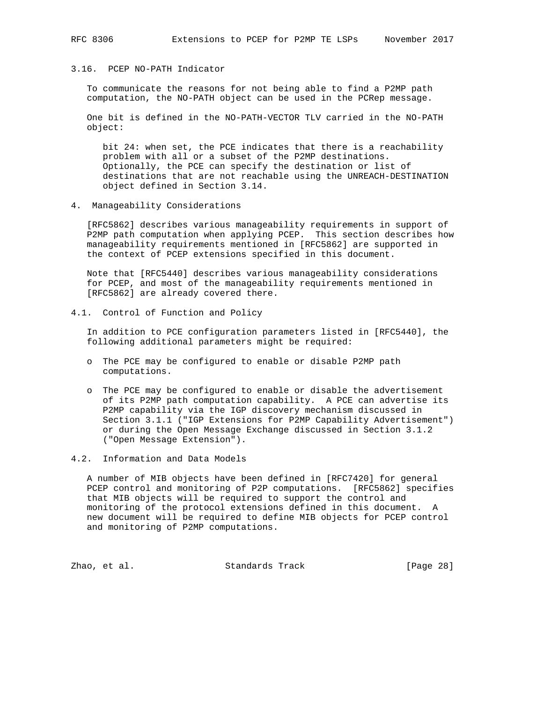# 3.16. PCEP NO-PATH Indicator

 To communicate the reasons for not being able to find a P2MP path computation, the NO-PATH object can be used in the PCRep message.

 One bit is defined in the NO-PATH-VECTOR TLV carried in the NO-PATH object:

 bit 24: when set, the PCE indicates that there is a reachability problem with all or a subset of the P2MP destinations. Optionally, the PCE can specify the destination or list of destinations that are not reachable using the UNREACH-DESTINATION object defined in Section 3.14.

4. Manageability Considerations

 [RFC5862] describes various manageability requirements in support of P2MP path computation when applying PCEP. This section describes how manageability requirements mentioned in [RFC5862] are supported in the context of PCEP extensions specified in this document.

 Note that [RFC5440] describes various manageability considerations for PCEP, and most of the manageability requirements mentioned in [RFC5862] are already covered there.

4.1. Control of Function and Policy

 In addition to PCE configuration parameters listed in [RFC5440], the following additional parameters might be required:

- o The PCE may be configured to enable or disable P2MP path computations.
- o The PCE may be configured to enable or disable the advertisement of its P2MP path computation capability. A PCE can advertise its P2MP capability via the IGP discovery mechanism discussed in Section 3.1.1 ("IGP Extensions for P2MP Capability Advertisement") or during the Open Message Exchange discussed in Section 3.1.2 ("Open Message Extension").
- 4.2. Information and Data Models

 A number of MIB objects have been defined in [RFC7420] for general PCEP control and monitoring of P2P computations. [RFC5862] specifies that MIB objects will be required to support the control and monitoring of the protocol extensions defined in this document. A new document will be required to define MIB objects for PCEP control and monitoring of P2MP computations.

Zhao, et al. Standards Track [Page 28]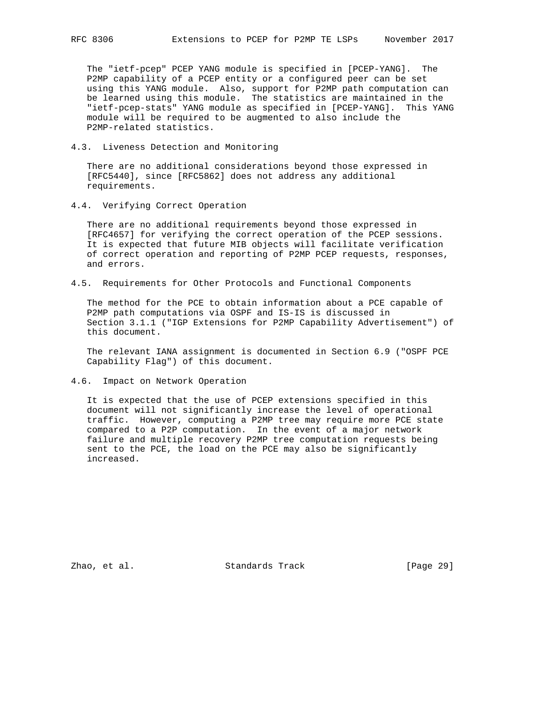The "ietf-pcep" PCEP YANG module is specified in [PCEP-YANG]. The P2MP capability of a PCEP entity or a configured peer can be set using this YANG module. Also, support for P2MP path computation can be learned using this module. The statistics are maintained in the "ietf-pcep-stats" YANG module as specified in [PCEP-YANG]. This YANG module will be required to be augmented to also include the P2MP-related statistics.

4.3. Liveness Detection and Monitoring

 There are no additional considerations beyond those expressed in [RFC5440], since [RFC5862] does not address any additional requirements.

4.4. Verifying Correct Operation

 There are no additional requirements beyond those expressed in [RFC4657] for verifying the correct operation of the PCEP sessions. It is expected that future MIB objects will facilitate verification of correct operation and reporting of P2MP PCEP requests, responses, and errors.

4.5. Requirements for Other Protocols and Functional Components

 The method for the PCE to obtain information about a PCE capable of P2MP path computations via OSPF and IS-IS is discussed in Section 3.1.1 ("IGP Extensions for P2MP Capability Advertisement") of this document.

 The relevant IANA assignment is documented in Section 6.9 ("OSPF PCE Capability Flag") of this document.

4.6. Impact on Network Operation

 It is expected that the use of PCEP extensions specified in this document will not significantly increase the level of operational traffic. However, computing a P2MP tree may require more PCE state compared to a P2P computation. In the event of a major network failure and multiple recovery P2MP tree computation requests being sent to the PCE, the load on the PCE may also be significantly increased.

Zhao, et al. Standards Track [Page 29]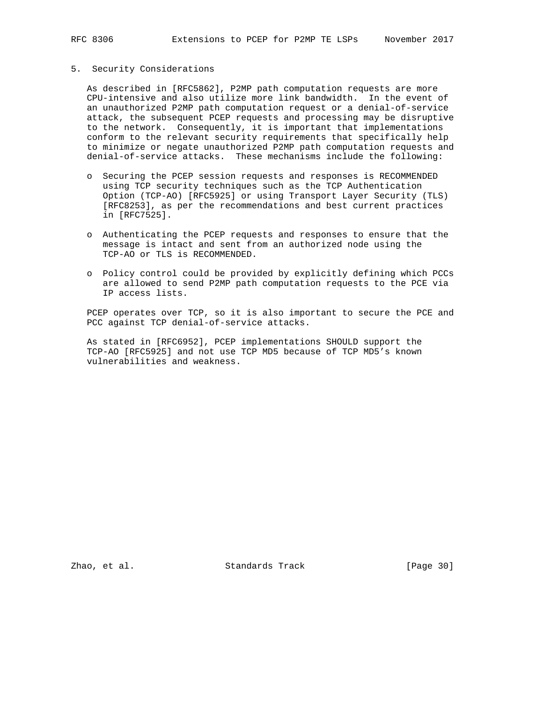## 5. Security Considerations

 As described in [RFC5862], P2MP path computation requests are more CPU-intensive and also utilize more link bandwidth. In the event of an unauthorized P2MP path computation request or a denial-of-service attack, the subsequent PCEP requests and processing may be disruptive to the network. Consequently, it is important that implementations conform to the relevant security requirements that specifically help to minimize or negate unauthorized P2MP path computation requests and denial-of-service attacks. These mechanisms include the following:

- o Securing the PCEP session requests and responses is RECOMMENDED using TCP security techniques such as the TCP Authentication Option (TCP-AO) [RFC5925] or using Transport Layer Security (TLS) [RFC8253], as per the recommendations and best current practices in [RFC7525].
- o Authenticating the PCEP requests and responses to ensure that the message is intact and sent from an authorized node using the TCP-AO or TLS is RECOMMENDED.
- o Policy control could be provided by explicitly defining which PCCs are allowed to send P2MP path computation requests to the PCE via IP access lists.

 PCEP operates over TCP, so it is also important to secure the PCE and PCC against TCP denial-of-service attacks.

 As stated in [RFC6952], PCEP implementations SHOULD support the TCP-AO [RFC5925] and not use TCP MD5 because of TCP MD5's known vulnerabilities and weakness.

Zhao, et al. Standards Track [Page 30]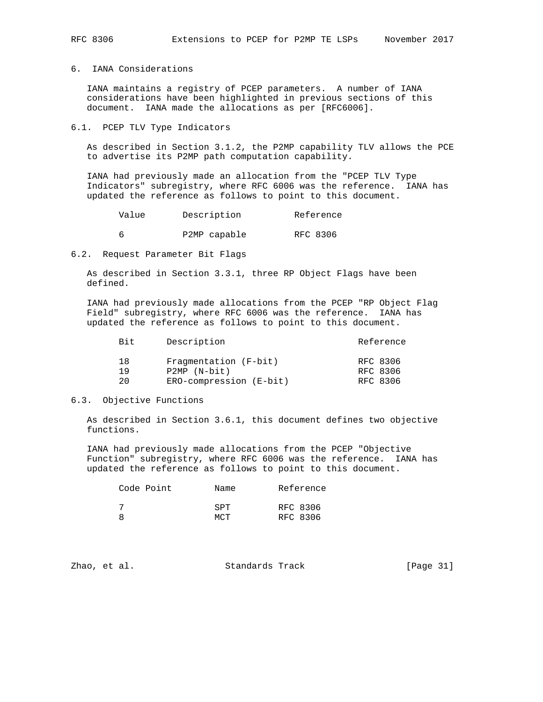# 6. IANA Considerations

 IANA maintains a registry of PCEP parameters. A number of IANA considerations have been highlighted in previous sections of this document. IANA made the allocations as per [RFC6006].

## 6.1. PCEP TLV Type Indicators

 As described in Section 3.1.2, the P2MP capability TLV allows the PCE to advertise its P2MP path computation capability.

 IANA had previously made an allocation from the "PCEP TLV Type Indicators" subregistry, where RFC 6006 was the reference. IANA has updated the reference as follows to point to this document.

| Value | Description  | Reference |
|-------|--------------|-----------|
|       | P2MP capable | RFC 8306  |

6.2. Request Parameter Bit Flags

 As described in Section 3.3.1, three RP Object Flags have been defined.

 IANA had previously made allocations from the PCEP "RP Object Flag Field" subregistry, where RFC 6006 was the reference. IANA has updated the reference as follows to point to this document.

| <b>Bit</b> | Description             | Reference |
|------------|-------------------------|-----------|
| 18         | Fragmentation (F-bit)   | RFC 8306  |
| 19         | $P2MP (N-bit)$          | RFC 8306  |
| 20         | ERO-compression (E-bit) | RFC 8306  |

## 6.3. Objective Functions

 As described in Section 3.6.1, this document defines two objective functions.

 IANA had previously made allocations from the PCEP "Objective Function" subregistry, where RFC 6006 was the reference. IANA has updated the reference as follows to point to this document.

| Code Point | Name                     | Reference            |
|------------|--------------------------|----------------------|
|            | <b>SPT</b><br><b>MCT</b> | RFC 8306<br>RFC 8306 |

| [Page 31]<br>Standards Track<br>Zhao, et al. |  |  |
|----------------------------------------------|--|--|
|----------------------------------------------|--|--|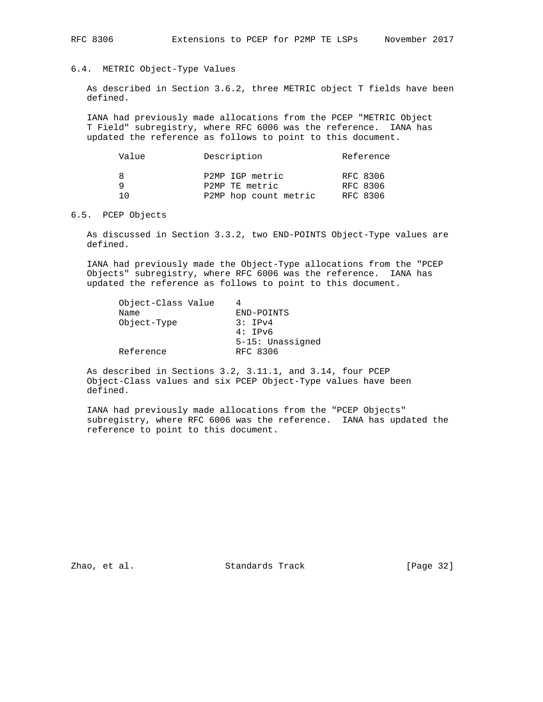# 6.4. METRIC Object-Type Values

 As described in Section 3.6.2, three METRIC object T fields have been defined.

 IANA had previously made allocations from the PCEP "METRIC Object T Field" subregistry, where RFC 6006 was the reference. IANA has updated the reference as follows to point to this document.

| Value    | Description                                                | Reference                        |
|----------|------------------------------------------------------------|----------------------------------|
| R<br>1 ∩ | P2MP IGP metric<br>P2MP TE metric<br>P2MP hop count metric | RFC 8306<br>RFC 8306<br>RFC 8306 |

### 6.5. PCEP Objects

 As discussed in Section 3.3.2, two END-POINTS Object-Type values are defined.

 IANA had previously made the Object-Type allocations from the "PCEP Objects" subregistry, where RFC 6006 was the reference. IANA has updated the reference as follows to point to this document.

| Object-Class Value |                  |
|--------------------|------------------|
| Name               | END-POINTS       |
| Object-Type        | 3:TPV4           |
|                    | 4:TPv6           |
|                    | 5-15: Unassigned |
| Reference          | RFC 8306         |

 As described in Sections 3.2, 3.11.1, and 3.14, four PCEP Object-Class values and six PCEP Object-Type values have been defined.

 IANA had previously made allocations from the "PCEP Objects" subregistry, where RFC 6006 was the reference. IANA has updated the reference to point to this document.

Zhao, et al. Standards Track [Page 32]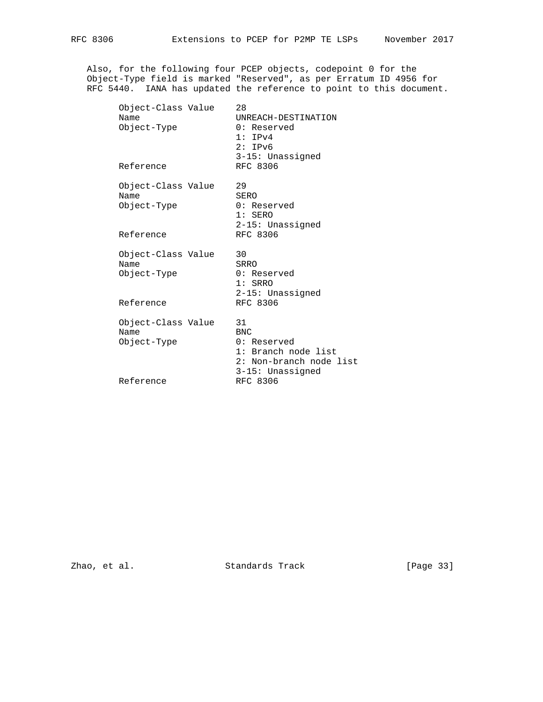Also, for the following four PCEP objects, codepoint 0 for the Object-Type field is marked "Reserved", as per Erratum ID 4956 for RFC 5440. IANA has updated the reference to point to this document.

| Object-Class Value<br>Name<br>Object-Type<br>Reference | 28<br>UNREACH-DESTINATION<br>0: Reserved<br>1:IPv4<br>2:IPv6<br>3-15: Unassigned<br>RFC 8306                      |
|--------------------------------------------------------|-------------------------------------------------------------------------------------------------------------------|
| Object-Class Value<br>Name<br>Object-Type<br>Reference | 29<br>SERO<br>0: Reserved<br>$1:$ SERO<br>$2-15$ : Unassigned<br>RFC 8306                                         |
| Object-Class Value<br>Name<br>Object-Type<br>Reference | 30<br>SRRO<br>0: Reserved<br>$1:$ SRRO<br>2-15: Unassigned<br>RFC 8306                                            |
| Object-Class Value<br>Name<br>Object-Type              | 31<br><b>BNC</b><br>0: Reserved<br>1: Branch node list<br>2: Non-branch node list<br>3-15: Unassigned<br>RFC 8306 |
|                                                        | Reference                                                                                                         |

Zhao, et al. Standards Track [Page 33]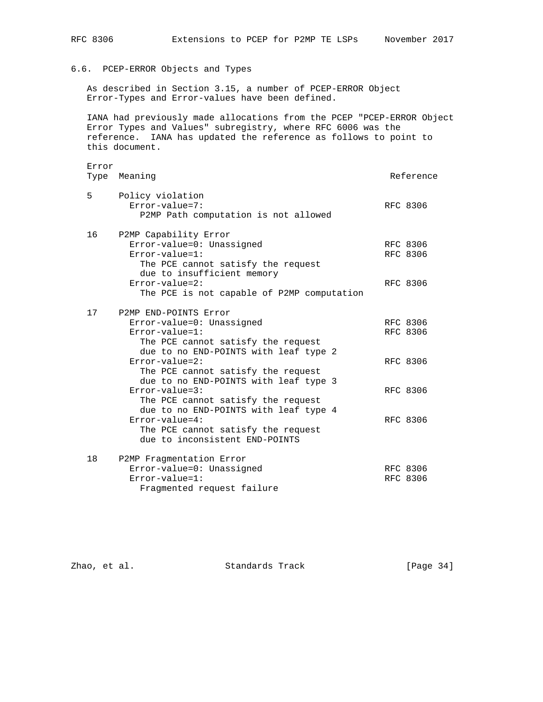# 6.6. PCEP-ERROR Objects and Types

 As described in Section 3.15, a number of PCEP-ERROR Object Error-Types and Error-values have been defined.

 IANA had previously made allocations from the PCEP "PCEP-ERROR Object Error Types and Values" subregistry, where RFC 6006 was the reference. IANA has updated the reference as follows to point to this document.

|    | Error<br>Type Meaning                                                                                                                                                                                                                      | Reference                        |
|----|--------------------------------------------------------------------------------------------------------------------------------------------------------------------------------------------------------------------------------------------|----------------------------------|
| 5  | Policy violation<br>$Error-value = 7:$<br>P2MP Path computation is not allowed                                                                                                                                                             | RFC 8306                         |
| 16 | P2MP Capability Error<br>Error-value=0: Unassigned<br>$Error-value = 1$ :<br>The PCE cannot satisfy the request<br>due to insufficient memory<br>$Error-value = 2$ :<br>The PCE is not capable of P2MP computation                         | RFC 8306<br>RFC 8306<br>RFC 8306 |
| 17 | P2MP END-POINTS Error<br>Error-value=0: Unassigned<br>$Error-value = 1$ :<br>The PCE cannot satisfy the request<br>due to no END-POINTS with leaf type 2<br>$Error-value = 2$ :                                                            | RFC 8306<br>RFC 8306<br>RFC 8306 |
|    | The PCE cannot satisfy the request<br>due to no END-POINTS with leaf type 3<br>$Error-value = 3:$<br>The PCE cannot satisfy the request<br>due to no END-POINTS with leaf type 4<br>$Error-value=4:$<br>The PCE cannot satisfy the request | RFC 8306<br>RFC 8306             |
| 18 | due to inconsistent END-POINTS<br>P2MP Fragmentation Error<br>Error-value=0: Unassigned<br>$Error-value = 1$ :                                                                                                                             | RFC 8306<br><b>RFC 8306</b>      |

Zhao, et al. Standards Track [Page 34]

Fragmented request failure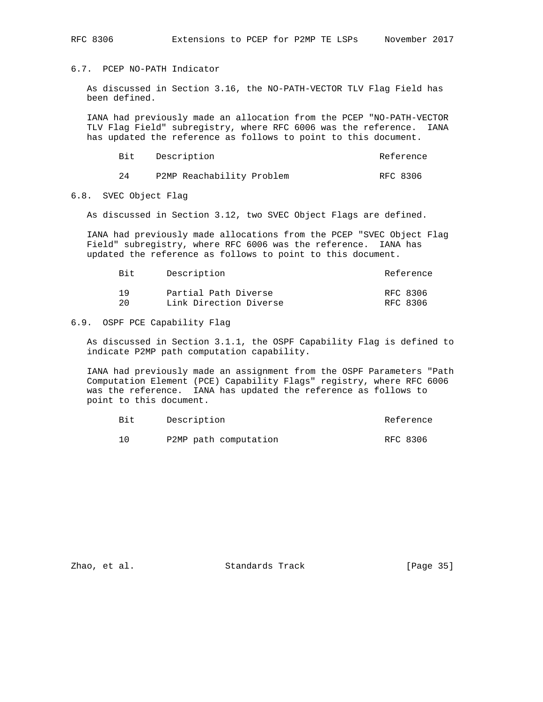# 6.7. PCEP NO-PATH Indicator

 As discussed in Section 3.16, the NO-PATH-VECTOR TLV Flag Field has been defined.

 IANA had previously made an allocation from the PCEP "NO-PATH-VECTOR TLV Flag Field" subregistry, where RFC 6006 was the reference. IANA has updated the reference as follows to point to this document.

|  | Bit Description           | Reference |
|--|---------------------------|-----------|
|  | P2MP Reachability Problem | RFC 8306  |

### 6.8. SVEC Object Flag

As discussed in Section 3.12, two SVEC Object Flags are defined.

 IANA had previously made allocations from the PCEP "SVEC Object Flag Field" subregistry, where RFC 6006 was the reference. IANA has updated the reference as follows to point to this document.

| <b>Bit</b> | Description            | Reference |
|------------|------------------------|-----------|
| 1 Q        | Partial Path Diverse   | RFC 8306  |
| 2.0        | Link Direction Diverse | RFC 8306  |

## 6.9. OSPF PCE Capability Flag

 As discussed in Section 3.1.1, the OSPF Capability Flag is defined to indicate P2MP path computation capability.

 IANA had previously made an assignment from the OSPF Parameters "Path Computation Element (PCE) Capability Flags" registry, where RFC 6006 was the reference. IANA has updated the reference as follows to point to this document.

| Bit | Description           | Reference |
|-----|-----------------------|-----------|
|     | P2MP path computation | RFC 8306  |

Zhao, et al. Standards Track [Page 35]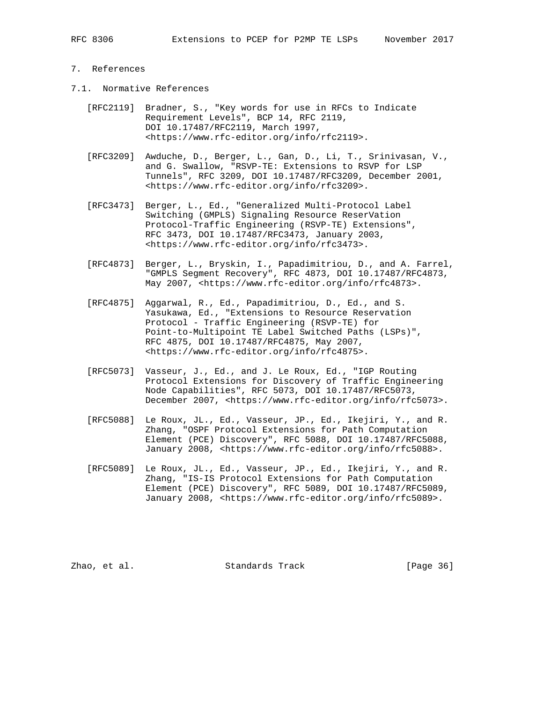# 7. References

- 7.1. Normative References
	- [RFC2119] Bradner, S., "Key words for use in RFCs to Indicate Requirement Levels", BCP 14, RFC 2119, DOI 10.17487/RFC2119, March 1997, <https://www.rfc-editor.org/info/rfc2119>.
	- [RFC3209] Awduche, D., Berger, L., Gan, D., Li, T., Srinivasan, V., and G. Swallow, "RSVP-TE: Extensions to RSVP for LSP Tunnels", RFC 3209, DOI 10.17487/RFC3209, December 2001, <https://www.rfc-editor.org/info/rfc3209>.
	- [RFC3473] Berger, L., Ed., "Generalized Multi-Protocol Label Switching (GMPLS) Signaling Resource ReserVation Protocol-Traffic Engineering (RSVP-TE) Extensions", RFC 3473, DOI 10.17487/RFC3473, January 2003, <https://www.rfc-editor.org/info/rfc3473>.
	- [RFC4873] Berger, L., Bryskin, I., Papadimitriou, D., and A. Farrel, "GMPLS Segment Recovery", RFC 4873, DOI 10.17487/RFC4873, May 2007, <https://www.rfc-editor.org/info/rfc4873>.
	- [RFC4875] Aggarwal, R., Ed., Papadimitriou, D., Ed., and S. Yasukawa, Ed., "Extensions to Resource Reservation Protocol - Traffic Engineering (RSVP-TE) for Point-to-Multipoint TE Label Switched Paths (LSPs)", RFC 4875, DOI 10.17487/RFC4875, May 2007, <https://www.rfc-editor.org/info/rfc4875>.
	- [RFC5073] Vasseur, J., Ed., and J. Le Roux, Ed., "IGP Routing Protocol Extensions for Discovery of Traffic Engineering Node Capabilities", RFC 5073, DOI 10.17487/RFC5073, December 2007, <https://www.rfc-editor.org/info/rfc5073>.
	- [RFC5088] Le Roux, JL., Ed., Vasseur, JP., Ed., Ikejiri, Y., and R. Zhang, "OSPF Protocol Extensions for Path Computation Element (PCE) Discovery", RFC 5088, DOI 10.17487/RFC5088, January 2008, <https://www.rfc-editor.org/info/rfc5088>.
	- [RFC5089] Le Roux, JL., Ed., Vasseur, JP., Ed., Ikejiri, Y., and R. Zhang, "IS-IS Protocol Extensions for Path Computation Element (PCE) Discovery", RFC 5089, DOI 10.17487/RFC5089, January 2008, <https://www.rfc-editor.org/info/rfc5089>.

Zhao, et al. Standards Track [Page 36]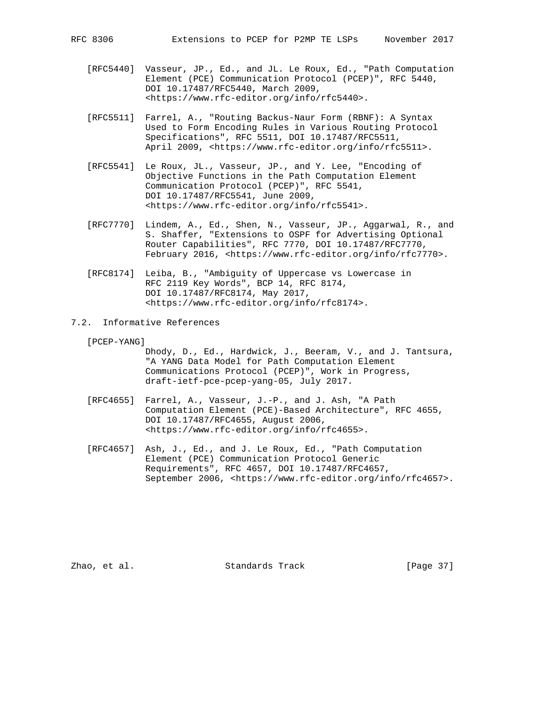- [RFC5440] Vasseur, JP., Ed., and JL. Le Roux, Ed., "Path Computation Element (PCE) Communication Protocol (PCEP)", RFC 5440, DOI 10.17487/RFC5440, March 2009, <https://www.rfc-editor.org/info/rfc5440>.
- [RFC5511] Farrel, A., "Routing Backus-Naur Form (RBNF): A Syntax Used to Form Encoding Rules in Various Routing Protocol Specifications", RFC 5511, DOI 10.17487/RFC5511, April 2009, <https://www.rfc-editor.org/info/rfc5511>.
- [RFC5541] Le Roux, JL., Vasseur, JP., and Y. Lee, "Encoding of Objective Functions in the Path Computation Element Communication Protocol (PCEP)", RFC 5541, DOI 10.17487/RFC5541, June 2009, <https://www.rfc-editor.org/info/rfc5541>.
- [RFC7770] Lindem, A., Ed., Shen, N., Vasseur, JP., Aggarwal, R., and S. Shaffer, "Extensions to OSPF for Advertising Optional Router Capabilities", RFC 7770, DOI 10.17487/RFC7770, February 2016, <https://www.rfc-editor.org/info/rfc7770>.
- [RFC8174] Leiba, B., "Ambiguity of Uppercase vs Lowercase in RFC 2119 Key Words", BCP 14, RFC 8174, DOI 10.17487/RFC8174, May 2017, <https://www.rfc-editor.org/info/rfc8174>.
- 7.2. Informative References

[PCEP-YANG]

- Dhody, D., Ed., Hardwick, J., Beeram, V., and J. Tantsura, "A YANG Data Model for Path Computation Element Communications Protocol (PCEP)", Work in Progress, draft-ietf-pce-pcep-yang-05, July 2017.
- [RFC4655] Farrel, A., Vasseur, J.-P., and J. Ash, "A Path Computation Element (PCE)-Based Architecture", RFC 4655, DOI 10.17487/RFC4655, August 2006, <https://www.rfc-editor.org/info/rfc4655>.
- [RFC4657] Ash, J., Ed., and J. Le Roux, Ed., "Path Computation Element (PCE) Communication Protocol Generic Requirements", RFC 4657, DOI 10.17487/RFC4657, September 2006, <https://www.rfc-editor.org/info/rfc4657>.

Zhao, et al. Standards Track [Page 37]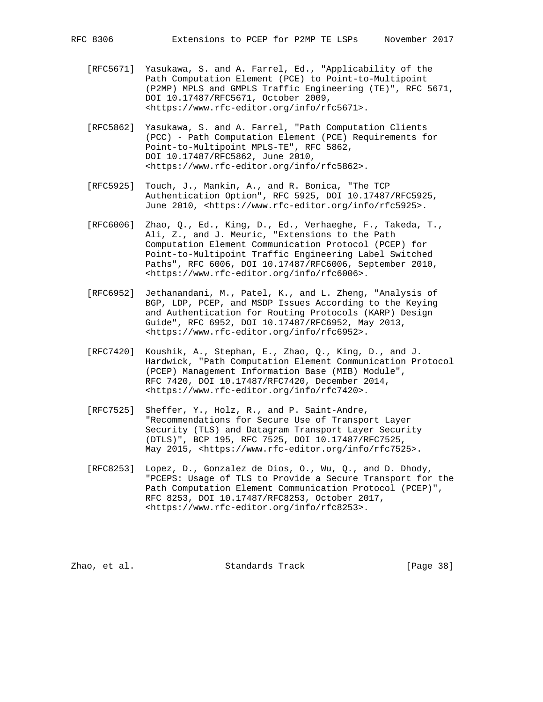- [RFC5671] Yasukawa, S. and A. Farrel, Ed., "Applicability of the Path Computation Element (PCE) to Point-to-Multipoint (P2MP) MPLS and GMPLS Traffic Engineering (TE)", RFC 5671, DOI 10.17487/RFC5671, October 2009, <https://www.rfc-editor.org/info/rfc5671>.
- [RFC5862] Yasukawa, S. and A. Farrel, "Path Computation Clients (PCC) - Path Computation Element (PCE) Requirements for Point-to-Multipoint MPLS-TE", RFC 5862, DOI 10.17487/RFC5862, June 2010, <https://www.rfc-editor.org/info/rfc5862>.
- [RFC5925] Touch, J., Mankin, A., and R. Bonica, "The TCP Authentication Option", RFC 5925, DOI 10.17487/RFC5925, June 2010, <https://www.rfc-editor.org/info/rfc5925>.
- [RFC6006] Zhao, Q., Ed., King, D., Ed., Verhaeghe, F., Takeda, T., Ali, Z., and J. Meuric, "Extensions to the Path Computation Element Communication Protocol (PCEP) for Point-to-Multipoint Traffic Engineering Label Switched Paths", RFC 6006, DOI 10.17487/RFC6006, September 2010, <https://www.rfc-editor.org/info/rfc6006>.
- [RFC6952] Jethanandani, M., Patel, K., and L. Zheng, "Analysis of BGP, LDP, PCEP, and MSDP Issues According to the Keying and Authentication for Routing Protocols (KARP) Design Guide", RFC 6952, DOI 10.17487/RFC6952, May 2013, <https://www.rfc-editor.org/info/rfc6952>.
- [RFC7420] Koushik, A., Stephan, E., Zhao, Q., King, D., and J. Hardwick, "Path Computation Element Communication Protocol (PCEP) Management Information Base (MIB) Module", RFC 7420, DOI 10.17487/RFC7420, December 2014, <https://www.rfc-editor.org/info/rfc7420>.
- [RFC7525] Sheffer, Y., Holz, R., and P. Saint-Andre, "Recommendations for Secure Use of Transport Layer Security (TLS) and Datagram Transport Layer Security (DTLS)", BCP 195, RFC 7525, DOI 10.17487/RFC7525, May 2015, <https://www.rfc-editor.org/info/rfc7525>.
- [RFC8253] Lopez, D., Gonzalez de Dios, O., Wu, Q., and D. Dhody, "PCEPS: Usage of TLS to Provide a Secure Transport for the Path Computation Element Communication Protocol (PCEP)", RFC 8253, DOI 10.17487/RFC8253, October 2017, <https://www.rfc-editor.org/info/rfc8253>.

Zhao, et al. Standards Track [Page 38]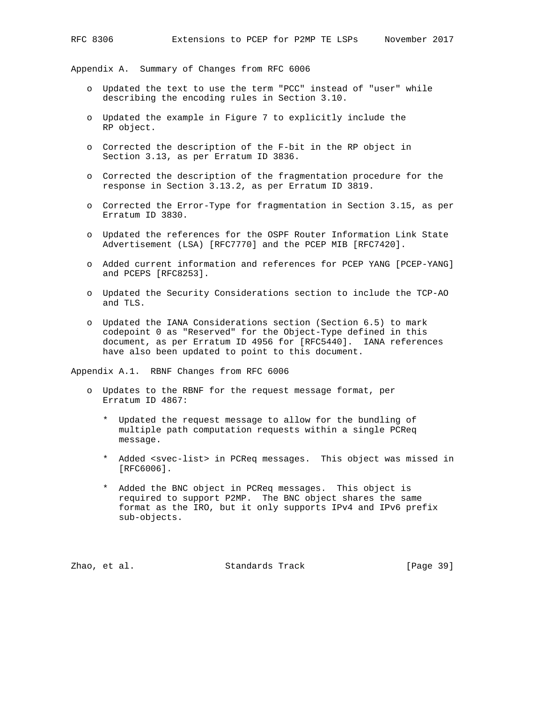Appendix A. Summary of Changes from RFC 6006

- o Updated the text to use the term "PCC" instead of "user" while describing the encoding rules in Section 3.10.
- o Updated the example in Figure 7 to explicitly include the RP object.
- o Corrected the description of the F-bit in the RP object in Section 3.13, as per Erratum ID 3836.
- o Corrected the description of the fragmentation procedure for the response in Section 3.13.2, as per Erratum ID 3819.
- o Corrected the Error-Type for fragmentation in Section 3.15, as per Erratum ID 3830.
- o Updated the references for the OSPF Router Information Link State Advertisement (LSA) [RFC7770] and the PCEP MIB [RFC7420].
- o Added current information and references for PCEP YANG [PCEP-YANG] and PCEPS [RFC8253].
- o Updated the Security Considerations section to include the TCP-AO and TLS.
- o Updated the IANA Considerations section (Section 6.5) to mark codepoint 0 as "Reserved" for the Object-Type defined in this document, as per Erratum ID 4956 for [RFC5440]. IANA references have also been updated to point to this document.

Appendix A.1. RBNF Changes from RFC 6006

- o Updates to the RBNF for the request message format, per Erratum ID 4867:
	- \* Updated the request message to allow for the bundling of multiple path computation requests within a single PCReq message.
	- \* Added <svec-list> in PCReq messages. This object was missed in [RFC6006].
	- \* Added the BNC object in PCReq messages. This object is required to support P2MP. The BNC object shares the same format as the IRO, but it only supports IPv4 and IPv6 prefix sub-objects.

Zhao, et al. Standards Track [Page 39]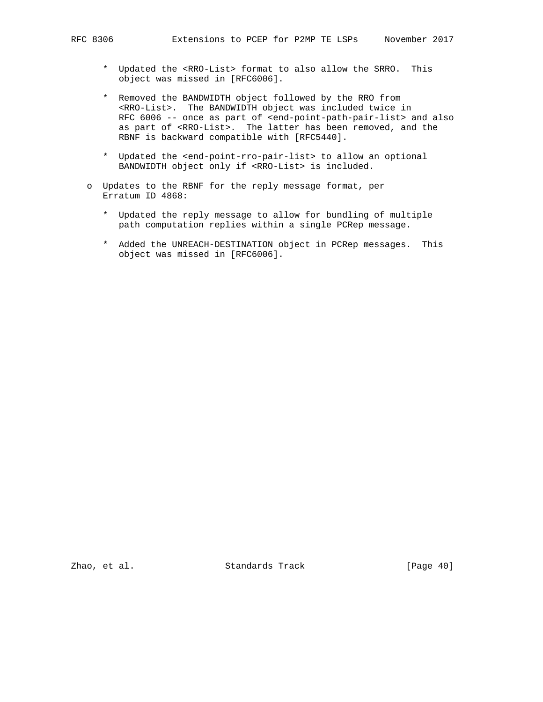- \* Updated the <RRO-List> format to also allow the SRRO. This object was missed in [RFC6006].
- \* Removed the BANDWIDTH object followed by the RRO from <RRO-List>. The BANDWIDTH object was included twice in RFC 6006 -- once as part of <end-point-path-pair-list> and also as part of <RRO-List>. The latter has been removed, and the RBNF is backward compatible with [RFC5440].
- \* Updated the <end-point-rro-pair-list> to allow an optional BANDWIDTH object only if <RRO-List> is included.
- o Updates to the RBNF for the reply message format, per Erratum ID 4868:
	- \* Updated the reply message to allow for bundling of multiple path computation replies within a single PCRep message.
	- \* Added the UNREACH-DESTINATION object in PCRep messages. This object was missed in [RFC6006].

Zhao, et al. Standards Track [Page 40]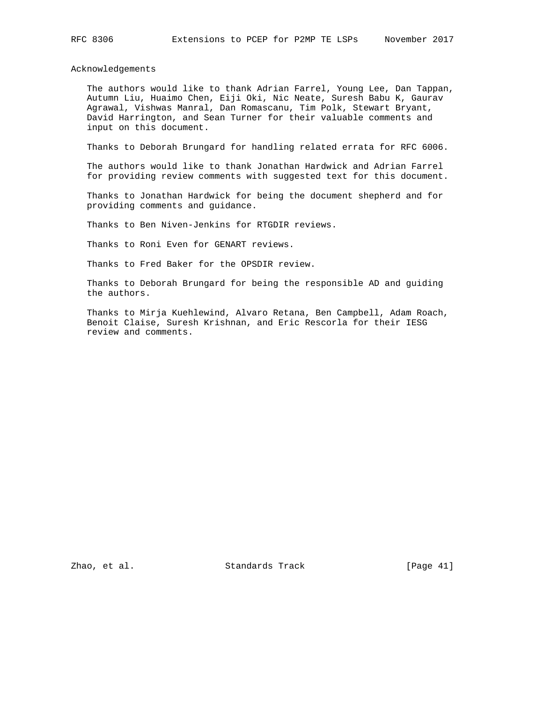Acknowledgements

 The authors would like to thank Adrian Farrel, Young Lee, Dan Tappan, Autumn Liu, Huaimo Chen, Eiji Oki, Nic Neate, Suresh Babu K, Gaurav Agrawal, Vishwas Manral, Dan Romascanu, Tim Polk, Stewart Bryant, David Harrington, and Sean Turner for their valuable comments and input on this document.

Thanks to Deborah Brungard for handling related errata for RFC 6006.

 The authors would like to thank Jonathan Hardwick and Adrian Farrel for providing review comments with suggested text for this document.

 Thanks to Jonathan Hardwick for being the document shepherd and for providing comments and guidance.

Thanks to Ben Niven-Jenkins for RTGDIR reviews.

Thanks to Roni Even for GENART reviews.

Thanks to Fred Baker for the OPSDIR review.

 Thanks to Deborah Brungard for being the responsible AD and guiding the authors.

 Thanks to Mirja Kuehlewind, Alvaro Retana, Ben Campbell, Adam Roach, Benoit Claise, Suresh Krishnan, and Eric Rescorla for their IESG review and comments.

Zhao, et al. Standards Track [Page 41]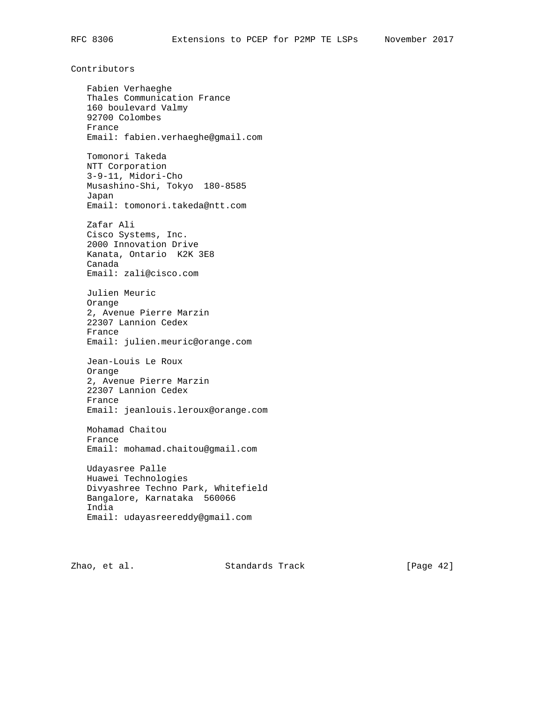Contributors

 Fabien Verhaeghe Thales Communication France 160 boulevard Valmy 92700 Colombes France Email: fabien.verhaeghe@gmail.com Tomonori Takeda NTT Corporation 3-9-11, Midori-Cho Musashino-Shi, Tokyo 180-8585 Japan Email: tomonori.takeda@ntt.com Zafar Ali Cisco Systems, Inc. 2000 Innovation Drive Kanata, Ontario K2K 3E8 Canada Email: zali@cisco.com Julien Meuric Orange 2, Avenue Pierre Marzin 22307 Lannion Cedex France Email: julien.meuric@orange.com Jean-Louis Le Roux Orange 2, Avenue Pierre Marzin 22307 Lannion Cedex France Email: jeanlouis.leroux@orange.com Mohamad Chaitou France Email: mohamad.chaitou@gmail.com Udayasree Palle Huawei Technologies Divyashree Techno Park, Whitefield Bangalore, Karnataka 560066 India Email: udayasreereddy@gmail.com

Zhao, et al. Standards Track [Page 42]